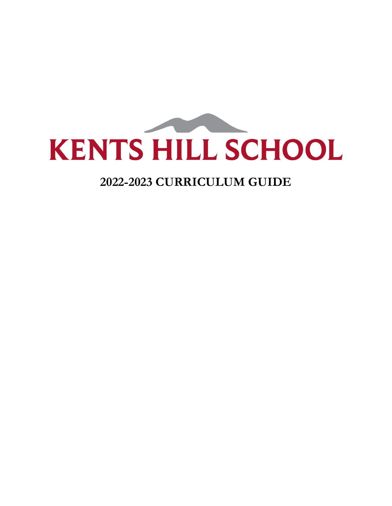

# **2022-2023 CURRICULUM GUIDE**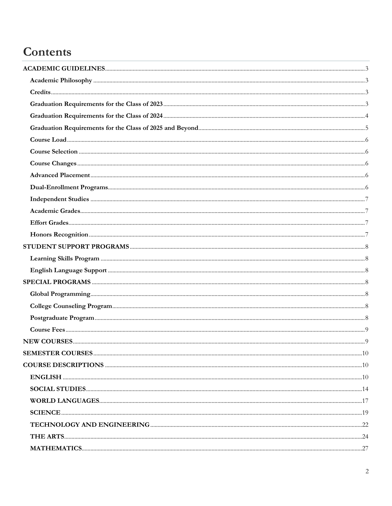# Contents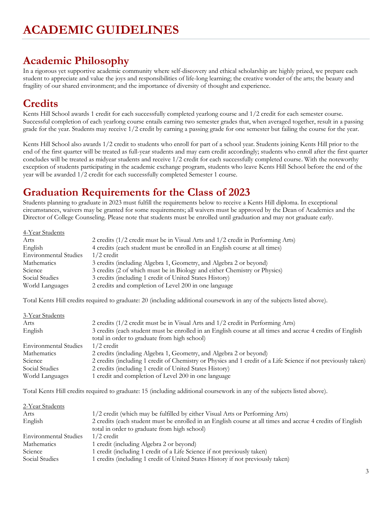# <span id="page-2-1"></span><span id="page-2-0"></span>**Academic Philosophy**

In a rigorous yet supportive academic community where self-discovery and ethical scholarship are highly prized, we prepare each student to appreciate and value the joys and responsibilities of life-long learning; the creative wonder of the arts; the beauty and fragility of our shared environment; and the importance of diversity of thought and experience.

# **Credits**

Kents Hill School awards 1 credit for each successfully completed yearlong course and 1/2 credit for each semester course. Successful completion of each yearlong course entails earning two semester grades that, when averaged together, result in a passing grade for the year. Students may receive 1/2 credit by earning a passing grade for one semester but failing the course for the year.

Kents Hill School also awards 1/2 credit to students who enroll for part of a school year. Students joining Kents Hill prior to the end of the first quarter will be treated as full-year students and may earn credit accordingly; students who enroll after the first quarter concludes will be treated as midyear students and receive 1/2 credit for each successfully completed course. With the noteworthy exception of students participating in the academic exchange program, students who leave Kents Hill School before the end of the year will be awarded 1/2 credit for each successfully completed Semester 1 course.

# **Graduation Requirements for the Class of 2023**

Students planning to graduate in 2023 must fulfill the requirements below to receive a Kents Hill diploma. In exceptional circumstances, waivers may be granted for some requirements; all waivers must be approved by the Dean of Academics and the Director of College Counseling. Please note that students must be enrolled until graduation and may not graduate early.

| 4-Year Students              |                                                                                 |
|------------------------------|---------------------------------------------------------------------------------|
| Arts                         | 2 credits (1/2 credit must be in Visual Arts and 1/2 credit in Performing Arts) |
| English                      | 4 credits (each student must be enrolled in an English course at all times)     |
| <b>Environmental Studies</b> | $1/2$ credit                                                                    |
| <b>Mathematics</b>           | 3 credits (including Algebra 1, Geometry, and Algebra 2 or beyond)              |
| Science                      | 3 credits (2 of which must be in Biology and either Chemistry or Physics)       |
| Social Studies               | 3 credits (including 1 credit of United States History)                         |
| World Languages              | 2 credits and completion of Level 200 in one language                           |

Total Kents Hill credits required to graduate: 20 (including additional coursework in any of the subjects listed above).

| 3-Year Students              |                                                                                                               |
|------------------------------|---------------------------------------------------------------------------------------------------------------|
| Arts                         | 2 credits (1/2 credit must be in Visual Arts and 1/2 credit in Performing Arts)                               |
| English                      | 3 credits (each student must be enrolled in an English course at all times and accrue 4 credits of English    |
|                              | total in order to graduate from high school)                                                                  |
| <b>Environmental Studies</b> | $1/2$ credit                                                                                                  |
| <b>Mathematics</b>           | 2 credits (including Algebra 1, Geometry, and Algebra 2 or beyond)                                            |
| Science                      | 2 credits (including 1 credit of Chemistry or Physics and 1 credit of a Life Science if not previously taken) |
| Social Studies               | 2 credits (including 1 credit of United States History)                                                       |
| World Languages              | 1 credit and completion of Level 200 in one language                                                          |

Total Kents Hill credits required to graduate: 15 (including additional coursework in any of the subjects listed above).

| 2-Year Students              |                                                                                                            |
|------------------------------|------------------------------------------------------------------------------------------------------------|
| Arts                         | 1/2 credit (which may be fulfilled by either Visual Arts or Performing Arts)                               |
| English                      | 2 credits (each student must be enrolled in an English course at all times and accrue 4 credits of English |
|                              | total in order to graduate from high school)                                                               |
| <b>Environmental Studies</b> | $1/2$ credit                                                                                               |
| Mathematics                  | 1 credit (including Algebra 2 or beyond)                                                                   |
| Science                      | 1 credit (including 1 credit of a Life Science if not previously taken)                                    |
| Social Studies               | 1 credits (including 1 credit of United States History if not previously taken)                            |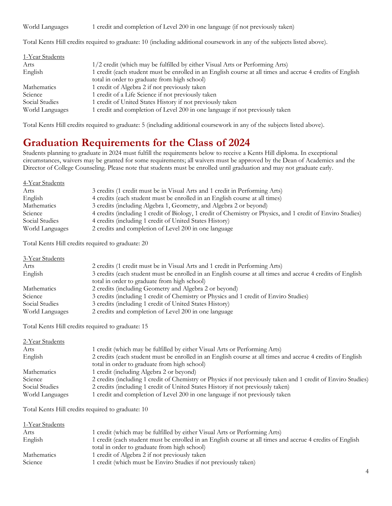World Languages 1 credit and completion of Level 200 in one language (if not previously taken)

Total Kents Hill credits required to graduate: 10 (including additional coursework in any of the subjects listed above).

| 1-Year Students |                                                                                                           |
|-----------------|-----------------------------------------------------------------------------------------------------------|
| Arts            | 1/2 credit (which may be fulfilled by either Visual Arts or Performing Arts)                              |
| English         | 1 credit (each student must be enrolled in an English course at all times and accrue 4 credits of English |
|                 | total in order to graduate from high school)                                                              |
| Mathematics     | 1 credit of Algebra 2 if not previously taken                                                             |
| Science         | 1 credit of a Life Science if not previously taken                                                        |
| Social Studies  | 1 credit of United States History if not previously taken                                                 |
| World Languages | 1 credit and completion of Level 200 in one language if not previously taken                              |

Total Kents Hill credits required to graduate: 5 (including additional coursework in any of the subjects listed above).

# **Graduation Requirements for the Class of 2024**

Students planning to graduate in 2024 must fulfill the requirements below to receive a Kents Hill diploma. In exceptional circumstances, waivers may be granted for some requirements; all waivers must be approved by the Dean of Academics and the Director of College Counseling. Please note that students must be enrolled until graduation and may not graduate early.

| 4-Year Students |                                                                                                             |
|-----------------|-------------------------------------------------------------------------------------------------------------|
| Arts            | 3 credits (1 credit must be in Visual Arts and 1 credit in Performing Arts)                                 |
| English         | 4 credits (each student must be enrolled in an English course at all times)                                 |
| Mathematics     | 3 credits (including Algebra 1, Geometry, and Algebra 2 or beyond)                                          |
| Science         | 4 credits (including 1 credit of Biology, 1 credit of Chemistry or Physics, and 1 credit of Enviro Studies) |
| Social Studies  | 4 credits (including 1 credit of United States History)                                                     |
| World Languages | 2 credits and completion of Level 200 in one language                                                       |

Total Kents Hill credits required to graduate: 20

| 3-Year Students    |                                                                                                                                                            |
|--------------------|------------------------------------------------------------------------------------------------------------------------------------------------------------|
| Arts               | 2 credits (1 credit must be in Visual Arts and 1 credit in Performing Arts)                                                                                |
| English            | 3 credits (each student must be enrolled in an English course at all times and accrue 4 credits of English<br>total in order to graduate from high school) |
| <b>Mathematics</b> | 2 credits (including Geometry and Algebra 2 or beyond)                                                                                                     |
| Science            | 3 credits (including 1 credit of Chemistry or Physics and 1 credit of Enviro Studies)                                                                      |
| Social Studies     | 3 credits (including 1 credit of United States History)                                                                                                    |
| World Languages    | 2 credits and completion of Level 200 in one language                                                                                                      |

Total Kents Hill credits required to graduate: 15

| 2 credits (each student must be enrolled in an English course at all times and accrue 4 credits of English    |
|---------------------------------------------------------------------------------------------------------------|
|                                                                                                               |
|                                                                                                               |
| 2 credits (including 1 credit of Chemistry or Physics if not previously taken and 1 credit of Enviro Studies) |
|                                                                                                               |
|                                                                                                               |
|                                                                                                               |

Total Kents Hill credits required to graduate: 10

| 1-Year Students               |                                                                                                                                                           |
|-------------------------------|-----------------------------------------------------------------------------------------------------------------------------------------------------------|
| Arts                          | 1 credit (which may be fulfilled by either Visual Arts or Performing Arts)                                                                                |
| English                       | 1 credit (each student must be enrolled in an English course at all times and accrue 4 credits of English<br>total in order to graduate from high school) |
| <b>Mathematics</b><br>Science | 1 credit of Algebra 2 if not previously taken<br>1 credit (which must be Enviro Studies if not previously taken)                                          |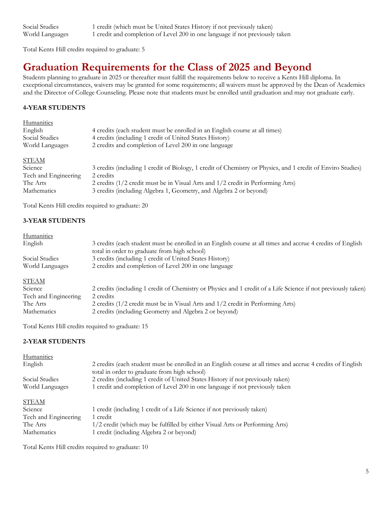| Social Studies  | 1 credit (which must be United States History if not previously taken)       |
|-----------------|------------------------------------------------------------------------------|
| World Languages | 1 credit and completion of Level 200 in one language if not previously taken |

Total Kents Hill credits required to graduate: 5

# **Graduation Requirements for the Class of 2025 and Beyond**

Students planning to graduate in 2025 or thereafter must fulfill the requirements below to receive a Kents Hill diploma. In exceptional circumstances, waivers may be granted for some requirements; all waivers must be approved by the Dean of Academics and the Director of College Counseling. Please note that students must be enrolled until graduation and may not graduate early.

### **4-YEAR STUDENTS**

| Humanities           |                                                                                                             |
|----------------------|-------------------------------------------------------------------------------------------------------------|
| English              | 4 credits (each student must be enrolled in an English course at all times)                                 |
| Social Studies       | 4 credits (including 1 credit of United States History)                                                     |
| World Languages      | 2 credits and completion of Level 200 in one language                                                       |
| <b>STEAM</b>         |                                                                                                             |
| Science              | 3 credits (including 1 credit of Biology, 1 credit of Chemistry or Physics, and 1 credit of Enviro Studies) |
| Tech and Engineering | 2 credits                                                                                                   |
| The Arts             | 2 credits (1/2 credit must be in Visual Arts and 1/2 credit in Performing Arts)                             |
| Mathematics          | 3 credits (including Algebra 1, Geometry, and Algebra 2 or beyond)                                          |

Total Kents Hill credits required to graduate: 20

### **3-YEAR STUDENTS**

### **Humanities**

| 3 credits (each student must be enrolled in an English course at all times and accrue 4 credits of English<br>total in order to graduate from high school) |
|------------------------------------------------------------------------------------------------------------------------------------------------------------|
| 3 credits (including 1 credit of United States History)                                                                                                    |
| 2 credits and completion of Level 200 in one language                                                                                                      |
|                                                                                                                                                            |
| 2 credits (including 1 credit of Chemistry or Physics and 1 credit of a Life Science if not previously taken)                                              |
| 2 credits                                                                                                                                                  |
| 2 credits (1/2 credit must be in Visual Arts and 1/2 credit in Performing Arts)                                                                            |
| 2 credits (including Geometry and Algebra 2 or beyond)                                                                                                     |
|                                                                                                                                                            |

Total Kents Hill credits required to graduate: 15

### **2-YEAR STUDENTS**

| Humanities           |                                                                                                                                                            |
|----------------------|------------------------------------------------------------------------------------------------------------------------------------------------------------|
| English              | 2 credits (each student must be enrolled in an English course at all times and accrue 4 credits of English<br>total in order to graduate from high school) |
| Social Studies       | 2 credits (including 1 credit of United States History if not previously taken)                                                                            |
| World Languages      | 1 credit and completion of Level 200 in one language if not previously taken                                                                               |
| <b>STEAM</b>         |                                                                                                                                                            |
| Science              | 1 credit (including 1 credit of a Life Science if not previously taken)                                                                                    |
| Tech and Engineering | 1 credit                                                                                                                                                   |
| The Arts             | 1/2 credit (which may be fulfilled by either Visual Arts or Performing Arts)                                                                               |
| Mathematics          | 1 credit (including Algebra 2 or beyond)                                                                                                                   |

Total Kents Hill credits required to graduate: 10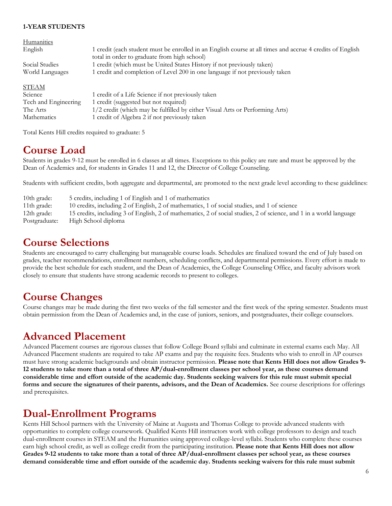### **1-YEAR STUDENTS**

| Humanities           |                                                                                                           |
|----------------------|-----------------------------------------------------------------------------------------------------------|
| English              | 1 credit (each student must be enrolled in an English course at all times and accrue 4 credits of English |
|                      | total in order to graduate from high school)                                                              |
| Social Studies       | 1 credit (which must be United States History if not previously taken)                                    |
| World Languages      | 1 credit and completion of Level 200 in one language if not previously taken                              |
|                      |                                                                                                           |
| <b>STEAM</b>         |                                                                                                           |
| Science              | 1 credit of a Life Science if not previously taken                                                        |
| Tech and Engineering | 1 credit (suggested but not required)                                                                     |
| The Arts             | 1/2 credit (which may be fulfilled by either Visual Arts or Performing Arts)                              |
| Mathematics          | 1 credit of Algebra 2 if not previously taken                                                             |

Total Kents Hill credits required to graduate: 5

## **Course Load**

Students in grades 9-12 must be enrolled in 6 classes at all times. Exceptions to this policy are rare and must be approved by the Dean of Academics and, for students in Grades 11 and 12, the Director of College Counseling.

Students with sufficient credits, both aggregate and departmental, are promoted to the next grade level according to these guidelines:

| 10th grade:             | 5 credits, including 1 of English and 1 of mathematics                                                             |
|-------------------------|--------------------------------------------------------------------------------------------------------------------|
| 11 <sup>th</sup> grade: | 10 credits, including 2 of English, 2 of mathematics, 1 of social studies, and 1 of science                        |
| 12th grade:             | 15 credits, including 3 of English, 2 of mathematics, 2 of social studies, 2 of science, and 1 in a world language |
| Postgraduate:           | High School diploma                                                                                                |

## <span id="page-5-0"></span>**Course Selections**

Students are encouraged to carry challenging but manageable course loads. Schedules are finalized toward the end of July based on grades, teacher recommendations, enrollment numbers, scheduling conflicts, and departmental permissions. Every effort is made to provide the best schedule for each student, and the Dean of Academics, the College Counseling Office, and faculty advisors work closely to ensure that students have strong academic records to present to colleges.

## <span id="page-5-1"></span>**Course Changes**

Course changes may be made during the first two weeks of the fall semester and the first week of the spring semester. Students must obtain permission from the Dean of Academics and, in the case of juniors, seniors, and postgraduates, their college counselors.

## **Advanced Placement**

Advanced Placement courses are rigorous classes that follow College Board syllabi and culminate in external exams each May. All Advanced Placement students are required to take AP exams and pay the requisite fees. Students who wish to enroll in AP courses must have strong academic backgrounds and obtain instructor permission. **Please note that Kents Hill does not allow Grades 9- 12 students to take more than a total of three AP/dual-enrollment classes per school year, as these courses demand considerable time and effort outside of the academic day. Students seeking waivers for this rule must submit special forms and secure the signatures of their parents, advisors, and the Dean of Academics.** See course descriptions for offerings and prerequisites.

## **Dual-Enrollment Programs**

Kents Hill School partners with the University of Maine at Augusta and Thomas College to provide advanced students with opportunities to complete college coursework. Qualified Kents Hill instructors work with college professors to design and teach dual-enrollment courses in STEAM and the Humanities using approved college-level syllabi. Students who complete these courses earn high school credit, as well as college credit from the participating institution. **Please note that Kents Hill does not allow Grades 9-12 students to take more than a total of three AP/dual-enrollment classes per school year, as these courses demand considerable time and effort outside of the academic day. Students seeking waivers for this rule must submit**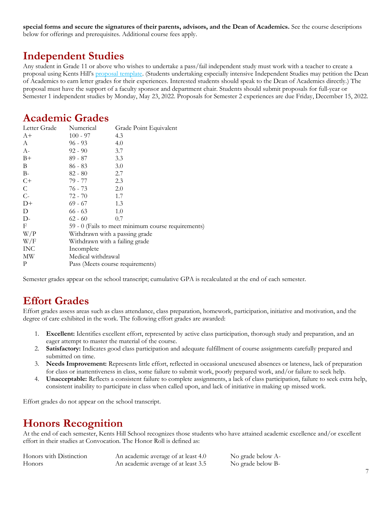**special forms and secure the signatures of their parents, advisors, and the Dean of Academics.** See the course descriptions below for offerings and prerequisites. Additional course fees apply.

# <span id="page-6-0"></span>**Independent Studies**

Any student in Grade 11 or above who wishes to undertake a pass/fail independent study must work with a teacher to create a proposal using Kents Hill's [proposal template.](https://docs.google.com/document/d/1urPElQt9W5XSH0TM5ZCJ0PE5H4wLItu-MMFRACoBSTI/edit?usp=sharing) (Students undertaking especially intensive Independent Studies may petition the Dean of Academics to earn letter grades for their experiences. Interested students should speak to the Dean of Academics directly.) The proposal must have the support of a faculty sponsor and department chair. Students should submit proposals for full-year or Semester 1 independent studies by Monday, May 23, 2022. Proposals for Semester 2 experiences are due Friday, December 15, 2022.

# <span id="page-6-1"></span>**Academic Grades**

| Letter Grade | Numerical                        | Grade Point Equivalent                             |
|--------------|----------------------------------|----------------------------------------------------|
| $A+$         | $100 - 97$                       | 4.3                                                |
| A            | $96 - 93$                        | 4.0                                                |
| $A-$         | $92 - 90$                        | 3.7                                                |
| $B+$         | 89 - 87                          | 3.3                                                |
| B            | $86 - 83$                        | 3.0                                                |
| $B-$         | $82 - 80$                        | 2.7                                                |
| $C+$         | 79 - 77                          | 2.3                                                |
| $\mathsf{C}$ | 76 - 73                          | 2.0                                                |
| $C-$         | 72 - 70                          | 1.7                                                |
| $D+$         | $69 - 67$                        | 1.3                                                |
| D            | $66 - 63$                        | 1.0                                                |
| $D-$         | $62 - 60$                        | 0.7                                                |
| F            |                                  | 59 - 0 (Fails to meet minimum course requirements) |
| W/P          | Withdrawn with a passing grade   |                                                    |
| W/F          | Withdrawn with a failing grade   |                                                    |
| <b>INC</b>   | Incomplete                       |                                                    |
| MW           | Medical withdrawal               |                                                    |
| P            | Pass (Meets course requirements) |                                                    |

Semester grades appear on the school transcript; cumulative GPA is recalculated at the end of each semester.

# <span id="page-6-2"></span>**Effort Grades**

Effort grades assess areas such as class attendance, class preparation, homework, participation, initiative and motivation, and the degree of care exhibited in the work. The following effort grades are awarded:

- 1. **Excellent:** Identifies excellent effort, represented by active class participation, thorough study and preparation, and an eager attempt to master the material of the course.
- 2. **Satisfactory:** Indicates good class participation and adequate fulfillment of course assignments carefully prepared and submitted on time.
- 3. **Needs Improvement:** Represents little effort, reflected in occasional unexcused absences or lateness, lack of preparation for class or inattentiveness in class, some failure to submit work, poorly prepared work, and/or failure to seek help.
- 4. **Unacceptable:** Reflects a consistent failure to complete assignments, a lack of class participation, failure to seek extra help, consistent inability to participate in class when called upon, and lack of initiative in making up missed work.

Effort grades do not appear on the school transcript.

# <span id="page-6-3"></span>**Honors Recognition**

At the end of each semester, Kents Hill School recognizes those students who have attained academic excellence and/or excellent effort in their studies at Convocation. The Honor Roll is defined as:

| Honors with Distinction | An academic average of at least 4.0 | No grade below A- |
|-------------------------|-------------------------------------|-------------------|
| <b>Honors</b>           | An academic average of at least 3.5 | No grade below B- |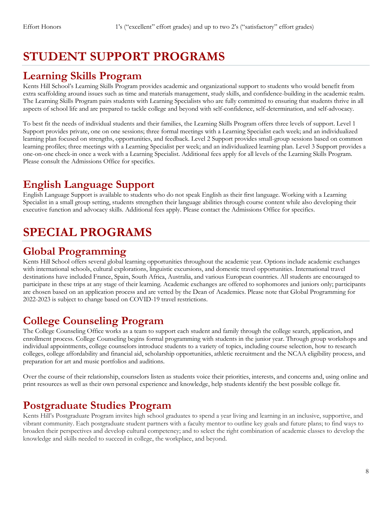# <span id="page-7-0"></span>**STUDENT SUPPORT PROGRAMS**

## <span id="page-7-1"></span>**Learning Skills Program**

Kents Hill School's Learning Skills Program provides academic and organizational support to students who would benefit from extra scaffolding around issues such as time and materials management, study skills, and confidence-building in the academic realm. The Learning Skills Program pairs students with Learning Specialists who are fully committed to ensuring that students thrive in all aspects of school life and are prepared to tackle college and beyond with self-confidence, self-determination, and self-advocacy.

To best fit the needs of individual students and their families, the Learning Skills Program offers three levels of support. Level 1 Support provides private, one on one sessions; three formal meetings with a Learning Specialist each week; and an individualized learning plan focused on strengths, opportunities, and feedback. Level 2 Support provides small-group sessions based on common learning profiles; three meetings with a Learning Specialist per week; and an individualized learning plan. Level 3 Support provides a one-on-one check-in once a week with a Learning Specialist. Additional fees apply for all levels of the Learning Skills Program. Please consult the Admissions Office for specifics.

# <span id="page-7-2"></span>**English Language Support**

English Language Support is available to students who do not speak English as their first language. Working with a Learning Specialist in a small group setting, students strengthen their language abilities through course content while also developing their executive function and advocacy skills. Additional fees apply. Please contact the Admissions Office for specifics.

# **SPECIAL PROGRAMS**

# **Global Programming**

Kents Hill School offers several global learning opportunities throughout the academic year. Options include academic exchanges with international schools, cultural explorations, linguistic excursions, and domestic travel opportunities. International travel destinations have included France, Spain, South Africa, Australia, and various European countries. All students are encouraged to participate in these trips at any stage of their learning. Academic exchanges are offered to sophomores and juniors only; participants are chosen based on an application process and are vetted by the Dean of Academics. Please note that Global Programming for 2022-2023 is subject to change based on COVID-19 travel restrictions.

# <span id="page-7-3"></span>**College Counseling Program**

The College Counseling Office works as a team to support each student and family through the college search, application, and enrollment process. College Counseling begins formal programming with students in the junior year. Through group workshops and individual appointments, college counselors introduce students to a variety of topics, including course selection, how to research colleges, college affordability and financial aid, scholarship opportunities, athletic recruitment and the NCAA eligibility process, and preparation for art and music portfolios and auditions.

Over the course of their relationship, counselors listen as students voice their priorities, interests, and concerns and, using online and print resources as well as their own personal experience and knowledge, help students identify the best possible college fit.

# <span id="page-7-4"></span>**Postgraduate Studies Program**

Kents Hill's Postgraduate Program invites high school graduates to spend a year living and learning in an inclusive, supportive, and vibrant community. Each postgraduate student partners with a faculty mentor to outline key goals and future plans; to find ways to broaden their perspectives and develop cultural competency; and to select the right combination of academic classes to develop the knowledge and skills needed to succeed in college, the workplace, and beyond.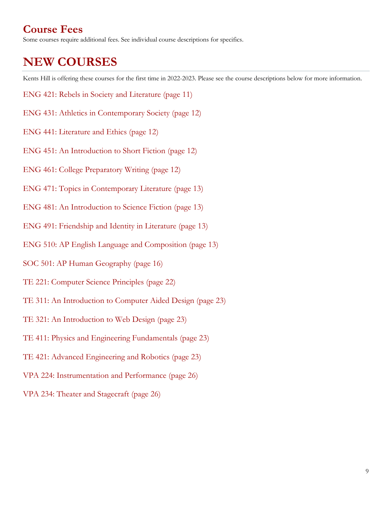# <span id="page-8-0"></span>**Course Fees**

<span id="page-8-1"></span>Some courses require additional fees. See individual course descriptions for specifics.

# **NEW COURSES**

Kents Hill is offering these courses for the first time in 2022-2023. Please see the course descriptions below for more information.

- ENG 421: Rebels in Society and Literature (page 11)
- ENG 431: Athletics in Contemporary Society (page 12)
- ENG 441: Literature and Ethics (page 12)
- ENG 451: An Introduction to Short Fiction (page 12)
- ENG 461: College Preparatory Writing (page 12)
- ENG 471: Topics in Contemporary Literature (page 13)
- ENG 481: An Introduction to Science Fiction (page 13)
- ENG 491: Friendship and Identity in Literature (page 13)
- ENG 510: AP English Language and Composition (page 13)
- SOC 501: AP Human Geography (page 16)
- TE 221: Computer Science Principles (page 22)
- TE 311: An Introduction to Computer Aided Design (page 23)
- TE 321: An Introduction to Web Design (page 23)
- TE 411: Physics and Engineering Fundamentals (page 23)
- TE 421: Advanced Engineering and Robotics (page 23)
- VPA 224: Instrumentation and Performance (page 26)
- VPA 234: Theater and Stagecraft (page 26)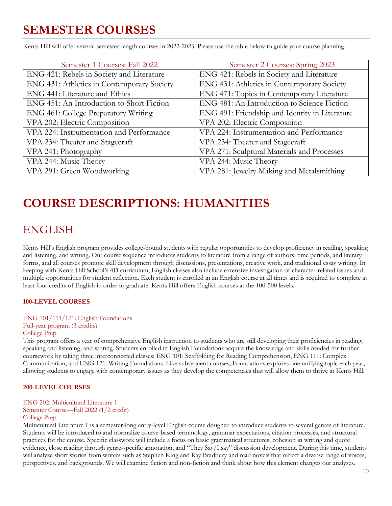# **SEMESTER COURSES**

Kents Hill will offer several semester-length courses in 2022-2023. Please use the table below to guide your course planning.

| Semester 1 Courses: Fall 2022              | Semester 2 Courses: Spring 2023                |
|--------------------------------------------|------------------------------------------------|
| ENG 421: Rebels in Society and Literature  | ENG 421: Rebels in Society and Literature      |
| ENG 431: Athletics in Contemporary Society | ENG 431: Athletics in Contemporary Society     |
| ENG 441: Literature and Ethics             | ENG 471: Topics in Contemporary Literature     |
| ENG 451: An Introduction to Short Fiction  | ENG 481: An Introduction to Science Fiction    |
| ENG 461: College Preparatory Writing       | ENG 491: Friendship and Identity in Literature |
| VPA 202: Electric Composition              | VPA 202: Electric Composition                  |
| VPA 224: Instrumentation and Performance   | VPA 224: Instrumentation and Performance       |
| VPA 234: Theater and Stagecraft            | VPA 234: Theater and Stagecraft                |
| VPA 241: Photography                       | VPA 271: Sculptural Materials and Processes    |
| VPA 244: Music Theory                      | VPA 244: Music Theory                          |
| VPA 291: Green Woodworking                 | VPA 281: Jewelry Making and Metalsmithing      |

# **COURSE DESCRIPTIONS: HUMANITIES**

# <span id="page-9-1"></span><span id="page-9-0"></span>ENGLISH

Kents Hill's English program provides college-bound students with regular opportunities to develop proficiency in reading, speaking and listening, and writing. Our course sequence introduces students to literature from a range of authors, time periods, and literary forms, and all courses promote skill development through discussions, presentations, creative work, and traditional essay writing. In keeping with Kents Hill School's 4D curriculum, English classes also include extensive investigation of character-related issues and multiple opportunities for student reflection. Each student is enrolled in an English course at all times and is required to complete at least four credits of English in order to graduate. Kents Hill offers English courses at the 100-500 levels.

### **100-LEVEL COURSES**

### ENG 101/111/121: English Foundations

## Full-year program (3 credits)

### College Prep

This program offers a year of comprehensive English instruction to students who are still developing their proficiencies in reading, speaking and listening, and writing. Students enrolled in English Foundations acquire the knowledge and skills needed for further coursework by taking three interconnected classes: ENG 101: Scaffolding for Reading Comprehension, ENG 111: Complex Communication, and ENG 121: Writing Foundations. Like subsequent courses, Foundations explores one unifying topic each year, allowing students to engage with contemporary issues as they develop the competencies that will allow them to thrive at Kents Hill.

### **200-LEVEL COURSES**

## ENG 202: Multicultural Literature 1

### Semester Course—Fall 2022 (1/2 credit) College Prep

Multicultural Literature 1 is a semester-long entry-level English course designed to introduce students to several genres of literature. Students will be introduced to and normalize course-based terminology, grammar expectations, citation processes, and structural practices for the course. Specific classwork will include a focus on basic grammatical structures, cohesion in writing and quote evidence, close reading through genre-specific annotation, and "They Say/I say" discussion development. During this time, students will analyze short stories from writers such as Stephen King and Ray Bradbury and read novels that reflect a diverse range of voices, perspectives, and backgrounds. We will examine fiction and non-fiction and think about how this element changes our analyses.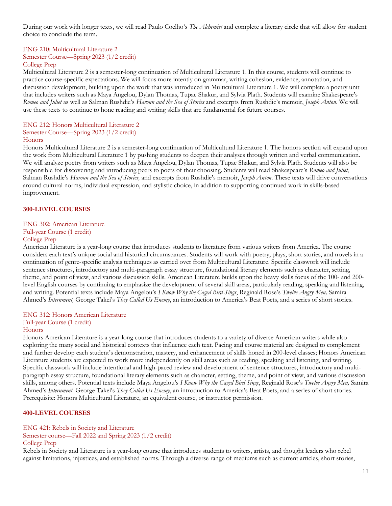During our work with longer texts, we will read Paulo Coelho's *The Alchemist* and complete a literary circle that will allow for student choice to conclude the term.

## ENG 210: Multicultural Literature 2 Semester Course—Spring 2023 (1/2 credit)

### College Prep

Multicultural Literature 2 is a semester-long continuation of Multicultural Literature 1. In this course, students will continue to practice course-specific expectations. We will focus more intently on grammar, writing cohesion, evidence, annotation, and discussion development, building upon the work that was introduced in Multicultural Literature 1. We will complete a poetry unit that includes writers such as Maya Angelou, Dylan Thomas, Tupac Shakur, and Sylvia Plath. Students will examine Shakespeare's *Romeo and Juliet* as well as Salman Rushdie's *Haroun and the Sea of Stories* and excerpts from Rushdie's memoir, *Joseph Anton*. We will use these texts to continue to hone reading and writing skills that are fundamental for future courses.

### ENG 212: Honors Multicultural Literature 2 Semester Course—Spring 2023 (1/2 credit)

### **Honors**

Honors Multicultural Literature 2 is a semester-long continuation of Multicultural Literature 1. The honors section will expand upon the work from Multicultural Literature 1 by pushing students to deepen their analyses through written and verbal communication. We will analyze poetry from writers such as Maya Angelou, Dylan Thomas, Tupac Shakur, and Sylvia Plath. Students will also be responsible for discovering and introducing peers to poets of their choosing. Students will read Shakespeare's *Romeo and Juliet*, Salman Rushdie's *Haroun and the Sea of Stories,* and excerpts from Rushdie's memoir, *Joseph Anton*. These texts will drive conversations around cultural norms, individual expression, and stylistic choice, in addition to supporting continued work in skills-based improvement.

### **300-LEVEL COURSES**

### ENG 302: American Literature

## Full-year Course (1 credit)

### College Prep

American Literature is a year-long course that introduces students to literature from various writers from America. The course considers each text's unique social and historical circumstances. Students will work with poetry, plays, short stories, and novels in a continuation of genre-specific analysis techniques as carried over from Multicultural Literature. Specific classwork will include sentence structures, introductory and multi-paragraph essay structure, foundational literary elements such as character, setting, theme, and point of view, and various discussion skills. American Literature builds upon the heavy skills focus of the 100- and 200 level English courses by continuing to emphasize the development of several skill areas, particularly reading, speaking and listening, and writing. Potential texts include Maya Angelou's *I Know Why the Caged Bird Sings*, Reginald Rose's *Twelve Angry Men,* Samira Ahmed's *Internment,* George Takei's *They Called Us Enemy*, an introduction to America's Beat Poets, and a series of short stories.

### ENG 312: Honors American Literature

### Full-year Course (1 credit)

### **Honors**

Honors American Literature is a year-long course that introduces students to a variety of diverse American writers while also exploring the many social and historical contexts that influence each text. Pacing and course material are designed to complement and further develop each student's demonstration, mastery, and enhancement of skills honed in 200-level classes; Honors American Literature students are expected to work more independently on skill areas such as reading, speaking and listening, and writing. Specific classwork will include intentional and high-paced review and development of sentence structures, introductory and multiparagraph essay structure, foundational literary elements such as character, setting, theme, and point of view, and various discussion skills, among others. Potential texts include Maya Angelou's *I Know Why the Caged Bird Sings*, Reginald Rose's *Twelve Angry Men,* Samira Ahmed's *Internment,* George Takei's *They Called Us Enemy*, an introduction to America's Beat Poets, and a series of short stories. Prerequisite: Honors Multicultural Literature, an equivalent course, or instructor permission.

### **400-LEVEL COURSES**

ENG 421: Rebels in Society and Literature Semester course—Fall 2022 and Spring 2023 (1/2 credit) College Prep

Rebels in Society and Literature is a year-long course that introduces students to writers, artists, and thought leaders who rebel against limitations, injustices, and established norms. Through a diverse range of mediums such as current articles, short stories,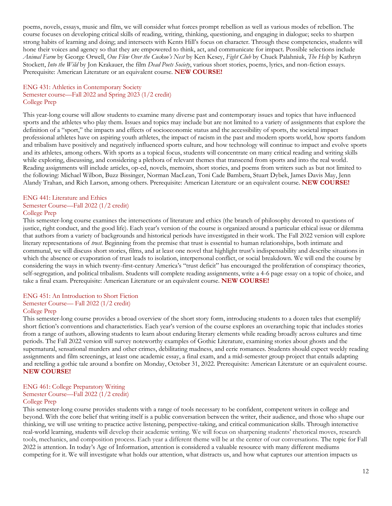poems, novels, essays, music and film, we will consider what forces prompt rebellion as well as various modes of rebellion. The course focuses on developing critical skills of reading, writing, thinking, questioning, and engaging in dialogue; seeks to sharpen strong habits of learning and doing; and intersects with Kents Hill's focus on character. Through these competencies, students will hone their voices and agency so that they are empowered to think, act, and communicate for impact. Possible selections include *Animal Farm* by George Orwell, *One Flew Over the Cuckoo's Nest* by Ken Kesey, *Fight Club* by Chuck Palahniuk, *The Help* by Kathryn Stockett, *Into the Wild* by Jon Krakauer, the film *Dead Poets Society*, various short stories, poems, lyrics, and non-fiction essays. Prerequisite: American Literature or an equivalent course. **NEW COURSE!**

### ENG 431: Athletics in Contemporary Society Semester course—Fall 2022 and Spring 2023 (1/2 credit) College Prep

This year-long course will allow students to examine many diverse past and contemporary issues and topics that have influenced sports and the athletes who play them. Issues and topics may include but are not limited to a variety of assignments that explore the definition of a "sport," the impacts and effects of socioeconomic status and the accessibility of sports, the societal impact professional athletes have on aspiring youth athletes, the impact of racism in the past and modern sports world, how sports fandom and tribalism have positively and negatively influenced sports culture, and how technology will continue to impact and evolve sports and its athletes, among others. With sports as a topical focus, students will concentrate on many critical reading and writing skills while exploring, discussing, and considering a plethora of relevant themes that transcend from sports and into the real world. Reading assignments will include articles, op-ed, novels, memoirs, short stories, and poems from writers such as but not limited to the following: Michael Wilbon, Buzz Bissinger, Norman MacLean, Toni Cade Bambera, Stuart Dybek, James Davis May, Jenn Alandy Trahan, and Rich Larson, among others. Prerequisite: American Literature or an equivalent course. **NEW COURSE!**

### ENG 441: Literature and Ethics Semester Course—Fall 2022 (1/2 credit)

### College Prep

This semester-long course examines the intersections of literature and ethics (the branch of philosophy devoted to questions of justice, right conduct, and the good life). Each year's version of the course is organized around a particular ethical issue or dilemma that authors from a variety of backgrounds and historical periods have investigated in their work. The Fall 2022 version will explore literary representations of *trust*. Beginning from the premise that trust is essential to human relationships, both intimate and communal, we will discuss short stories, films, and at least one novel that highlight trust's indispensability and describe situations in which the absence or evaporation of trust leads to isolation, interpersonal conflict, or social breakdown. We will end the course by considering the ways in which twenty-first-century America's "trust deficit" has encouraged the proliferation of conspiracy theories, self-segregation, and political tribalism. Students will complete reading assignments, write a 4-6 page essay on a topic of choice, and take a final exam. Prerequisite: American Literature or an equivalent course. **NEW COURSE!**

### ENG 451: An Introduction to Short Fiction

### Semester Course— Fall 2022 (1/2 credit)

#### College Prep

This semester-long course provides a broad overview of the short story form, introducing students to a dozen tales that exemplify short fiction's conventions and characteristics. Each year's version of the course explores an overarching topic that includes stories from a range of authors, allowing students to learn about enduring literary elements while reading broadly across cultures and time periods. The Fall 2022 version will survey noteworthy examples of Gothic Literature, examining stories about ghosts and the supernatural, sensational murders and other crimes, debilitating madness, and eerie romances. Students should expect weekly reading assignments and film screenings, at least one academic essay, a final exam, and a mid-semester group project that entails adapting and retelling a gothic tale around a bonfire on Monday, October 31, 2022. Prerequisite: American Literature or an equivalent course. **NEW COURSE!**

## ENG 461: College Preparatory Writing

## Semester Course—Fall 2022 (1/2 credit)

### College Prep

This semester-long course provides students with a range of tools necessary to be confident, competent writers in college and beyond. With the core belief that writing itself is a public conversation between the writer, their audience, and those who shape our thinking, we will use writing to practice active listening, perspective-taking, and critical communication skills. Through interactive real-world learning, students will develop their academic writing. We will focus on sharpening students' rhetorical moves, research tools, mechanics, and composition process. Each year a different theme will be at the center of our conversations. The topic for Fall 2022 is attention. In today's Age of Information, attention is considered a valuable resource with many different mediums competing for it. We will investigate what holds our attention, what distracts us, and how what captures our attention impacts us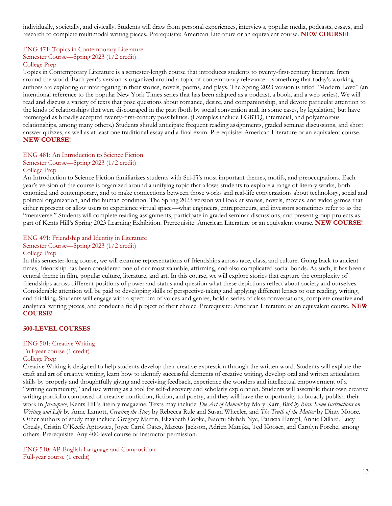individually, societally, and civically. Students will draw from personal experiences, interviews, popular media, podcasts, essays, and research to complete multimodal writing pieces. Prerequisite: American Literature or an equivalent course. **NEW COURSE!**

### ENG 471: Topics in Contemporary Literature Semester Course—Spring 2023 (1/2 credit) College Prep

Topics in Contemporary Literature is a semester-length course that introduces students to twenty-first-century literature from around the world. Each year's version is organized around a topic of contemporary relevance—something that today's working authors are exploring or interrogating in their stories, novels, poems, and plays. The Spring 2023 version is titled "Modern Love" (an intentional reference to the popular New York Times series that has been adapted as a podcast, a book, and a web series). We will read and discuss a variety of texts that pose questions about romance, desire, and companionship, and devote particular attention to the kinds of relationships that were discouraged in the past (both by social convention and, in some cases, by legislation) but have reemerged as broadly accepted twenty-first-century possibilities. (Examples include LGBTQ, interracial, and polyamorous relationships, among many others.) Students should anticipate frequent reading assignments, graded seminar discussions, and short answer quizzes, as well as at least one traditional essay and a final exam. Prerequisite: American Literature or an equivalent course. **NEW COURSE!**

### ENG 481: An Introduction to Science Fiction

### Semester Course—Spring 2023 (1/2 credit)

### College Prep

An Introduction to Science Fiction familiarizes students with Sci-Fi's most important themes, motifs, and preoccupations. Each year's version of the course is organized around a unifying topic that allows students to explore a range of literary works, both canonical and contemporary, and to make connections between those works and real-life conversations about technology, social and political organization, and the human condition. The Spring 2023 version will look at stories, novels, movies, and video games that either represent or allow users to experience virtual space—what engineers, entrepreneurs, and investors sometimes refer to as the "metaverse." Students will complete reading assignments, participate in graded seminar discussions, and present group projects as part of Kents Hill's Spring 2023 Learning Exhibition. Prerequisite: American Literature or an equivalent course. **NEW COURSE!**

## ENG 491: Friendship and Identity in Literature Semester Course—Spring 2023 (1/2 credit)

### College Prep

In this semester-long course, we will examine representations of friendships across race, class, and culture. Going back to ancient times, friendship has been considered one of our most valuable, affirming, and also complicated social bonds. As such, it has been a central theme in film, popular culture, literature, and art. In this course, we will explore stories that capture the complexity of friendships across different positions of power and status and question what these depictions reflect about society and ourselves. Considerable attention will be paid to developing skills of perspective-taking and applying different lenses to our reading, writing, and thinking. Students will engage with a spectrum of voices and genres, hold a series of class conversations, complete creative and analytical writing pieces, and conduct a field project of their choice. Prerequisite: American Literature or an equivalent course. **NEW COURSE!**

### **500-LEVEL COURSES**

### ENG 501: Creative Writing Full-year course (1 credit) College Prep

Creative Writing is designed to help students develop their creative expression through the written word. Students will explore the craft and art of creative writing, learn how to identify successful elements of creative writing, develop oral and written articulation skills by properly and thoughtfully giving and receiving feedback, experience the wonders and intellectual empowerment of a "writing community," and use writing as a tool for self-discovery and scholarly exploration. Students will assemble their own creative writing portfolio composed of creative nonfiction, fiction, and poetry, and they will have the opportunity to broadly publish their work in *Juxtapose*, Kents Hill's literary magazine. Texts may include *The Art of Memoir* by Mary Karr, *Bird by Bird: Some Instructions on Writing and Life* by Anne Lamott, *Creating the Story* by Rebecca Rule and Susan Wheeler, and *The Truth of the Matter* by Dinty Moore. Other authors of study may include Gregory Martin, Elizabeth Cooke, Naomi Shihab Nye, Patricia Hampl, Annie Dillard, Lucy Grealy, Cristin O'Keefe Aptowicz, Joyce Carol Oates, Marcus Jackson, Adrien Matejka, Ted Kooser, and Carolyn Forche, among others. Prerequisite: Any 400-level course or instructor permission.

ENG 510: AP English Language and Composition Full-year course (1 credit)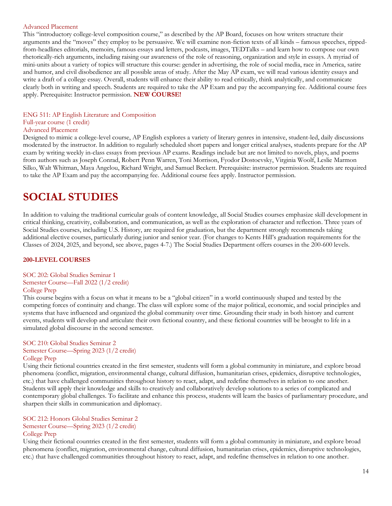### Advanced Placement

This "introductory college-level composition course," as described by the AP Board, focuses on how writers structure their arguments and the "moves" they employ to be persuasive. We will examine non-fiction texts of all kinds – famous speeches, rippedfrom-headlines editorials, memoirs, famous essays and letters, podcasts, images, TEDTalks – and learn how to compose our own rhetorically-rich arguments, including raising our awareness of the role of reasoning, organization and style in essays. A myriad of mini-units about a variety of topics will structure this course: gender in advertising, the role of social media, race in America, satire and humor, and civil disobedience are all possible areas of study. After the May AP exam, we will read various identity essays and write a draft of a college essay. Overall, students will enhance their ability to read critically, think analytically, and communicate clearly both in writing and speech. Students are required to take the AP Exam and pay the accompanying fee. Additional course fees apply. Prerequisite: Instructor permission. **NEW COURSE!**

### ENG 511: AP English Literature and Composition

### Full-year course (1 credit)

### Advanced Placement

Designed to mimic a college-level course, AP English explores a variety of literary genres in intensive, student-led, daily discussions moderated by the instructor. In addition to regularly scheduled short papers and longer critical analyses, students prepare for the AP exam by writing weekly in-class essays from previous AP exams. Readings include but are not limited to novels, plays, and poems from authors such as Joseph Conrad, Robert Penn Warren, Toni Morrison, Fyodor Dostoevsky, Virginia Woolf, Leslie Marmon Silko, Walt Whitman, Maya Angelou, Richard Wright, and Samuel Beckett. Prerequisite: instructor permission. Students are required to take the AP Exam and pay the accompanying fee. Additional course fees apply. Instructor permission.

## **SOCIAL STUDIES**

In addition to valuing the traditional curricular goals of content knowledge, all Social Studies courses emphasize skill development in critical thinking, creativity, collaboration, and communication, as well as the exploration of character and reflection. Three years of Social Studies courses, including U.S. History, are required for graduation, but the department strongly recommends taking additional elective courses, particularly during junior and senior year. (For changes to Kents Hill's graduation requirements for the Classes of 2024, 2025, and beyond, see above, pages 4-7.) The Social Studies Department offers courses in the 200-600 levels.

### **200-LEVEL COURSES**

### SOC 202: Global Studies Seminar 1

## Semester Course—Fall 2022 (1/2 credit)

### College Prep

This course begins with a focus on what it means to be a "global citizen" in a world continuously shaped and tested by the competing forces of continuity and change. The class will explore some of the major political, economic, and social principles and systems that have influenced and organized the global community over time. Grounding their study in both history and current events, students will develop and articulate their own fictional country, and these fictional countries will be brought to life in a simulated global discourse in the second semester.

### SOC 210: Global Studies Seminar 2 Semester Course—Spring 2023 (1/2 credit) College Prep

Using their fictional countries created in the first semester, students will form a global community in miniature, and explore broad phenomena (conflict, migration, environmental change, cultural diffusion, humanitarian crises, epidemics, disruptive technologies, etc.) that have challenged communities throughout history to react, adapt, and redefine themselves in relation to one another. Students will apply their knowledge and skills to creatively and collaboratively develop solutions to a series of complicated and contemporary global challenges. To facilitate and enhance this process, students will learn the basics of parliamentary procedure, and sharpen their skills in communication and diplomacy.

### SOC 212: Honors Global Studies Seminar 2 Semester Course—Spring 2023 (1/2 credit) College Prep

Using their fictional countries created in the first semester, students will form a global community in miniature, and explore broad phenomena (conflict, migration, environmental change, cultural diffusion, humanitarian crises, epidemics, disruptive technologies, etc.) that have challenged communities throughout history to react, adapt, and redefine themselves in relation to one another.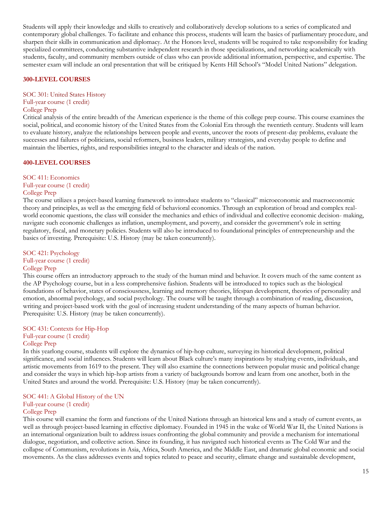Students will apply their knowledge and skills to creatively and collaboratively develop solutions to a series of complicated and contemporary global challenges. To facilitate and enhance this process, students will learn the basics of parliamentary procedure, and sharpen their skills in communication and diplomacy. At the Honors level, students will be required to take responsibility for leading specialized committees, conducting substantive independent research in those specializations, and networking academically with students, faculty, and community members outside of class who can provide additional information, perspective, and expertise. The semester exam will include an oral presentation that will be critiqued by Kents Hill School's "Model United Nations" delegation.

### **300-LEVEL COURSES**

### SOC 301: United States History Full-year course (1 credit)

### College Prep

Critical analysis of the entire breadth of the American experience is the theme of this college prep course. This course examines the social, political, and economic history of the United States from the Colonial Era through the twentieth century. Students will learn to evaluate history, analyze the relationships between people and events, uncover the roots of present-day problems, evaluate the successes and failures of politicians, social reformers, business leaders, military strategists, and everyday people to define and maintain the liberties, rights, and responsibilities integral to the character and ideals of the nation.

### **400-LEVEL COURSES**

SOC 411: Economics Full-year course (1 credit) College Prep

The course utilizes a project-based learning framework to introduce students to "classical" microeconomic and macroeconomic theory and principles, as well as the emerging field of behavioral economics. Through an exploration of broad and complex realworld economic questions, the class will consider the mechanics and ethics of individual and collective economic decision- making, navigate such economic challenges as inflation, unemployment, and poverty, and consider the government's role in setting regulatory, fiscal, and monetary policies. Students will also be introduced to foundational principles of entrepreneurship and the basics of investing. Prerequisite: U.S. History (may be taken concurrently).

SOC 421: Psychology Full-year course (1 credit) College Prep

This course offers an introductory approach to the study of the human mind and behavior. It covers much of the same content as the AP Psychology course, but in a less comprehensive fashion. Students will be introduced to topics such as the biological foundations of behavior, states of consciousness, learning and memory theories, lifespan development, theories of personality and emotion, abnormal psychology, and social psychology. The course will be taught through a combination of reading, discussion, writing and project-based work with the goal of increasing student understanding of the many aspects of human behavior. Prerequisite: U.S. History (may be taken concurrently).

### SOC 431: Contexts for Hip-Hop Full-year course (1 credit) College Prep

In this yearlong course, students will explore the dynamics of hip-hop culture, surveying its historical development, political significance, and social influences. Students will learn about Black culture's many inspirations by studying events, individuals, and artistic movements from 1619 to the present. They will also examine the connections between popular music and political change and consider the ways in which hip-hop artists from a variety of backgrounds borrow and learn from one another, both in the United States and around the world. Prerequisite: U.S. History (may be taken concurrently).

### SOC 441: A Global History of the UN Full-year course (1 credit) College Prep

This course will examine the form and functions of the United Nations through an historical lens and a study of current events, as well as through project-based learning in effective diplomacy. Founded in 1945 in the wake of World War II, the United Nations is an international organization built to address issues confronting the global community and provide a mechanism for international dialogue, negotiation, and collective action. Since its founding, it has navigated such historical events as The Cold War and the collapse of Communism, revolutions in Asia, Africa, South America, and the Middle East, and dramatic global economic and social movements. As the class addresses events and topics related to peace and security, climate change and sustainable development,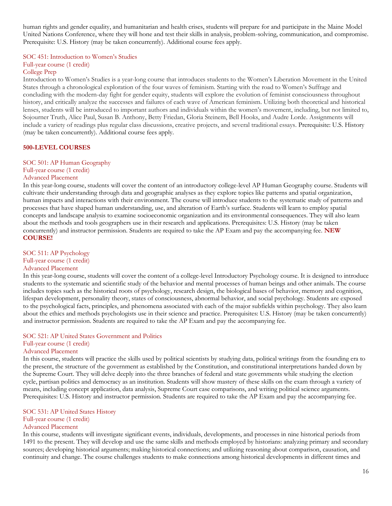human rights and gender equality, and humanitarian and health crises, students will prepare for and participate in the Maine Model United Nations Conference, where they will hone and test their skills in analysis, problem-solving, communication, and compromise. Prerequisite: U.S. History (may be taken concurrently). Additional course fees apply.

## SOC 451: Introduction to Women's Studies Full-year course (1 credit)

#### College Prep

Introduction to Women's Studies is a year-long course that introduces students to the Women's Liberation Movement in the United States through a chronological exploration of the four waves of feminism. Starting with the road to Women's Suffrage and concluding with the modern-day fight for gender equity, students will explore the evolution of feminist consciousness throughout history, and critically analyze the successes and failures of each wave of American feminism. Utilizing both theoretical and historical lenses, students will be introduced to important authors and individuals within the women's movement, including, but not limited to, Sojourner Truth, Alice Paul, Susan B. Anthony, Betty Friedan, Gloria Steinem, Bell Hooks, and Audre Lorde. Assignments will include a variety of readings plus regular class discussions, creative projects, and several traditional essays. Prerequisite: U.S. History (may be taken concurrently). Additional course fees apply.

### **500-LEVEL COURSES**

SOC 501: AP Human Geography Full-year course (1 credit)

### Advanced Placement

In this year-long course, students will cover the content of an introductory college-level AP Human Geography course. Students will cultivate their understanding through data and geographic analyses as they explore topics like patterns and spatial organization, human impacts and interactions with their environment. The course will introduce students to the systematic study of patterns and processes that have shaped human understanding, use, and alteration of Earth's surface. Students will learn to employ spatial concepts and landscape analysis to examine socioeconomic organization and its environmental consequences. They will also learn about the methods and tools geographers use in their research and applications. Prerequisites: U.S. History (may be taken concurrently) and instructor permission. Students are required to take the AP Exam and pay the accompanying fee. **NEW COURSE!**

### SOC 511: AP Psychology Full-year course (1 credit)

#### Advanced Placement

In this year-long course, students will cover the content of a college-level Introductory Psychology course. It is designed to introduce students to the systematic and scientific study of the behavior and mental processes of human beings and other animals. The course includes topics such as the historical roots of psychology, research design, the biological bases of behavior, memory and cognition, lifespan development, personality theory, states of consciousness, abnormal behavior, and social psychology. Students are exposed to the psychological facts, principles, and phenomena associated with each of the major subfields within psychology. They also learn about the ethics and methods psychologists use in their science and practice. Prerequisites: U.S. History (may be taken concurrently) and instructor permission. Students are required to take the AP Exam and pay the accompanying fee.

## SOC 521: AP United States Government and Politics Full-year course (1 credit)

## Advanced Placement

In this course, students will practice the skills used by political scientists by studying data, political writings from the founding era to the present, the structure of the government as established by the Constitution, and constitutional interpretations handed down by the Supreme Court. They will delve deeply into the three branches of federal and state governments while studying the election cycle, partisan politics and democracy as an institution. Students will show mastery of these skills on the exam through a variety of means, including concept application, data analysis, Supreme Court case comparisons, and writing political science arguments. Prerequisites: U.S. History and instructor permission. Students are required to take the AP Exam and pay the accompanying fee.

### SOC 531: AP United States History

### Full-year course (1 credit)

### Advanced Placement

In this course, students will investigate significant events, individuals, developments, and processes in nine historical periods from 1491 to the present. They will develop and use the same skills and methods employed by historians: analyzing primary and secondary sources; developing historical arguments; making historical connections; and utilizing reasoning about comparison, causation, and continuity and change. The course challenges students to make connections among historical developments in different times and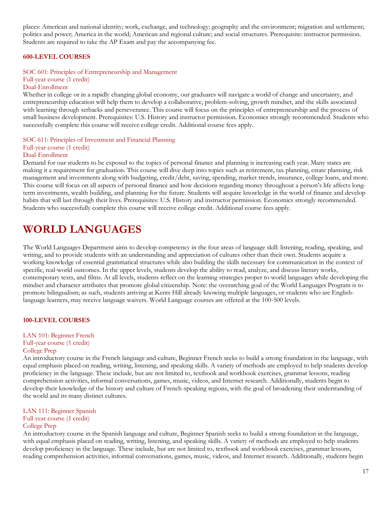places: American and national identity; work, exchange, and technology; geography and the environment; migration and settlement; politics and power; America in the world; American and regional culture; and social structures. Prerequisite: instructor permission. Students are required to take the AP Exam and pay the accompanying fee.

### **600-LEVEL COURSES**

### SOC 601: Principles of Entrepreneurship and Management Full-year course (1 credit) Dual-Enrollment

Whether in college or in a rapidly changing global economy, our graduates will navigate a world of change and uncertainty, and entrepreneurship education will help them to develop a collaborative, problem-solving, growth mindset, and the skills associated with learning through setbacks and perseverance. This course will focus on the principles of entrepreneurship and the process of small business development. Prerequisites: U.S. History and instructor permission. Economics strongly recommended. Students who successfully complete this course will receive college credit. Additional course fees apply.

SOC 611: Principles of Investment and Financial Planning Full-year course (1 credit) Dual-Enrollment

### Demand for our students to be exposed to the topics of personal finance and planning is increasing each year. Many states are making it a requirement for graduation. This course will dive deep into topics such as retirement, tax planning, estate planning, risk management and investments along with budgeting, credit/debt, saving, spending, market trends, insurance, college loans, and more. This course will focus on all aspects of personal finance and how decisions regarding money throughout a person's life affects longterm investments, wealth building, and planning for the future. Students will acquire knowledge in the world of finance and develop habits that will last through their lives. Prerequisites: U.S. History and instructor permission. Economics strongly recommended. Students who successfully complete this course will receive college credit. Additional course fees apply.

# **WORLD LANGUAGES**

The World Languages Department aims to develop competency in the four areas of language skill: listening, reading, speaking, and writing, and to provide students with an understanding and appreciation of cultures other than their own. Students acquire a working knowledge of essential grammatical structures while also building the skills necessary for communication in the context of specific, real-world outcomes. In the upper levels, students develop the ability to read, analyze, and discuss literary works, contemporary texts, and films. At all levels, students reflect on the learning strategies proper to world languages while developing the mindset and character attributes that promote global citizenship. Note: the overarching goal of the World Languages Program is to promote bilingualism; as such, students arriving at Kents Hill already knowing multiple languages, or students who are Englishlanguage learners, may receive language waivers. World Language courses are offered at the 100-500 levels.

### **100-LEVEL COURSES**

LAN 101: Beginner French Full-year course (1 credit) College Prep

An introductory course in the French language and culture, Beginner French seeks to build a strong foundation in the language, with equal emphasis placed on reading, writing, listening, and speaking skills. A variety of methods are employed to help students develop proficiency in the language. These include, but are not limited to, textbook and workbook exercises, grammar lessons, reading comprehension activities, informal conversations, games, music, videos, and Internet research. Additionally, students begin to develop their knowledge of the history and culture of French-speaking regions, with the goal of broadening their understanding of the world and its many distinct cultures.

### LAN 111: Beginner Spanish Full-year course (1 credit) College Prep

An introductory course in the Spanish language and culture, Beginner Spanish seeks to build a strong foundation in the language, with equal emphasis placed on reading, writing, listening, and speaking skills. A variety of methods are employed to help students develop proficiency in the language. These include, but are not limited to, textbook and workbook exercises, grammar lessons, reading comprehension activities, informal conversations, games, music, videos, and Internet research. Additionally, students begin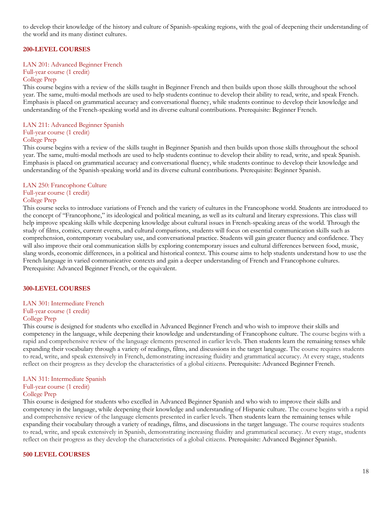to develop their knowledge of the history and culture of Spanish-speaking regions, with the goal of deepening their understanding of the world and its many distinct cultures.

### **200-LEVEL COURSES**

#### LAN 201: Advanced Beginner French

Full-year course (1 credit) College Prep

This course begins with a review of the skills taught in Beginner French and then builds upon those skills throughout the school year. The same, multi-modal methods are used to help students continue to develop their ability to read, write, and speak French. Emphasis is placed on grammatical accuracy and conversational fluency, while students continue to develop their knowledge and understanding of the French-speaking world and its diverse cultural contributions. Prerequisite: Beginner French.

### LAN 211: Advanced Beginner Spanish

### Full-year course (1 credit)

### College Prep

This course begins with a review of the skills taught in Beginner Spanish and then builds upon those skills throughout the school year. The same, multi-modal methods are used to help students continue to develop their ability to read, write, and speak Spanish. Emphasis is placed on grammatical accuracy and conversational fluency, while students continue to develop their knowledge and understanding of the Spanish-speaking world and its diverse cultural contributions. Prerequisite: Beginner Spanish.

### LAN 250: Francophone Culture Full-year course (1 credit)

### College Prep

This course seeks to introduce variations of French and the variety of cultures in the Francophone world. Students are introduced to the concept of "Francophone," its ideological and political meaning, as well as its cultural and literary expressions. This class will help improve speaking skills while deepening knowledge about cultural issues in French-speaking areas of the world. Through the study of films, comics, current events, and cultural comparisons, students will focus on essential communication skills such as comprehension, contemporary vocabulary use, and conversational practice. Students will gain greater fluency and confidence. They will also improve their oral communication skills by exploring contemporary issues and cultural differences between food, music, slang words, economic differences, in a political and historical context. This course aims to help students understand how to use the French language in varied communicative contexts and gain a deeper understanding of French and Francophone cultures. Prerequisite: Advanced Beginner French, or the equivalent.

### **300-LEVEL COURSES**

### LAN 301: Intermediate French Full-year course (1 credit) College Prep

This course is designed for students who excelled in Advanced Beginner French and who wish to improve their skills and competency in the language, while deepening their knowledge and understanding of Francophone culture. The course begins with a rapid and comprehensive review of the language elements presented in earlier levels. Then students learn the remaining tenses while expanding their vocabulary through a variety of readings, films, and discussions in the target language. The course requires students to read, write, and speak extensively in French, demonstrating increasing fluidity and grammatical accuracy. At every stage, students reflect on their progress as they develop the characteristics of a global citizens. Prerequisite: Advanced Beginner French.

### LAN 311: Intermediate Spanish

### Full-year course (1 credit)

### College Prep

This course is designed for students who excelled in Advanced Beginner Spanish and who wish to improve their skills and competency in the language, while deepening their knowledge and understanding of Hispanic culture. The course begins with a rapid and comprehensive review of the language elements presented in earlier levels. Then students learn the remaining tenses while expanding their vocabulary through a variety of readings, films, and discussions in the target language. The course requires students to read, write, and speak extensively in Spanish, demonstrating increasing fluidity and grammatical accuracy. At every stage, students reflect on their progress as they develop the characteristics of a global citizens. Prerequisite: Advanced Beginner Spanish.

#### **500 LEVEL COURSES**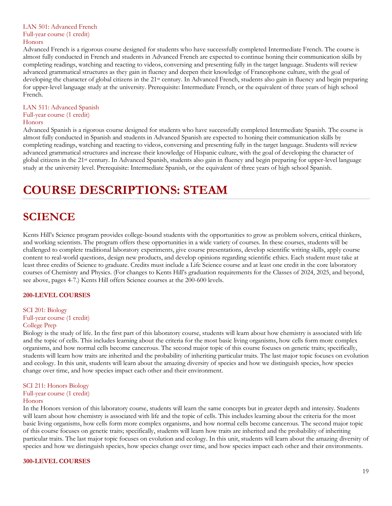### LAN 501: Advanced French Full-year course (1 credit) Honors

Advanced French is a rigorous course designed for students who have successfully completed Intermediate French. The course is almost fully conducted in French and students in Advanced French are expected to continue honing their communication skills by completing readings, watching and reacting to videos, conversing and presenting fully in the target language. Students will review advanced grammatical structures as they gain in fluency and deepen their knowledge of Francophone culture, with the goal of developing the character of global citizens in the 21<sup>st</sup> century. In Advanced French, students also gain in fluency and begin preparing for upper-level language study at the university. Prerequisite: Intermediate French, or the equivalent of three years of high school French.

### LAN 511: Advanced Spanish Full-year course (1 credit) Honors

Advanced Spanish is a rigorous course designed for students who have successfully completed Intermediate Spanish. The course is almost fully conducted in Spanish and students in Advanced Spanish are expected to honing their communication skills by completing readings, watching and reacting to videos, conversing and presenting fully in the target language. Students will review advanced grammatical structures and increase their knowledge of Hispanic culture, with the goal of developing the character of global citizens in the 21st century. In Advanced Spanish, students also gain in fluency and begin preparing for upper-level language study at the university level. Prerequisite: Intermediate Spanish, or the equivalent of three years of high school Spanish.

# **COURSE DESCRIPTIONS: STEAM**

# <span id="page-18-0"></span>**SCIENCE**

Kents Hill's Science program provides college-bound students with the opportunities to grow as problem solvers, critical thinkers, and working scientists. The program offers these opportunities in a wide variety of courses. In these courses, students will be challenged to complete traditional laboratory experiments, give course presentations, develop scientific writing skills, apply course content to real-world questions, design new products, and develop opinions regarding scientific ethics. Each student must take at least three credits of Science to graduate. Credits must include a Life Science course and at least one credit in the core laboratory courses of Chemistry and Physics. (For changes to Kents Hill's graduation requirements for the Classes of 2024, 2025, and beyond, see above, pages 4-7.) Kents Hill offers Science courses at the 200-600 levels.

### **200-LEVEL COURSES**

SCI 201: Biology Full-year course (1 credit) College Prep

Biology is the study of life. In the first part of this laboratory course, students will learn about how chemistry is associated with life and the topic of cells. This includes learning about the criteria for the most basic living organisms, how cells form more complex organisms, and how normal cells become cancerous. The second major topic of this course focuses on genetic traits; specifically, students will learn how traits are inherited and the probability of inheriting particular traits. The last major topic focuses on evolution and ecology. In this unit, students will learn about the amazing diversity of species and how we distinguish species, how species change over time, and how species impact each other and their environment.

### SCI 211: Honors Biology Full-year course (1 credit)

### Honors

In the Honors version of this laboratory course, students will learn the same concepts but in greater depth and intensity. Students will learn about how chemistry is associated with life and the topic of cells. This includes learning about the criteria for the most basic living organisms, how cells form more complex organisms, and how normal cells become cancerous. The second major topic of this course focuses on genetic traits; specifically, students will learn how traits are inherited and the probability of inheriting particular traits. The last major topic focuses on evolution and ecology. In this unit, students will learn about the amazing diversity of species and how we distinguish species, how species change over time, and how species impact each other and their environments.

### **300-LEVEL COURSES**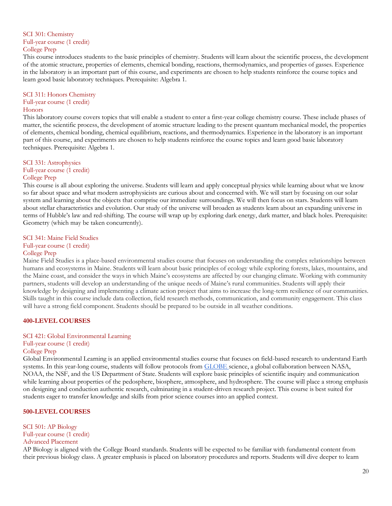### SCI 301: Chemistry Full-year course (1 credit) College Prep

This course introduces students to the basic principles of chemistry. Students will learn about the scientific process, the development of the atomic structure, properties of elements, chemical bonding, reactions, thermodynamics, and properties of gasses. Experience in the laboratory is an important part of this course, and experiments are chosen to help students reinforce the course topics and learn good basic laboratory techniques. Prerequisite: Algebra 1.

### SCI 311: Honors Chemistry Full-year course (1 credit) **Honors**

This laboratory course covers topics that will enable a student to enter a first-year college chemistry course. These include phases of matter, the scientific process, the development of atomic structure leading to the present quantum mechanical model, the properties of elements, chemical bonding, chemical equilibrium, reactions, and thermodynamics. Experience in the laboratory is an important part of this course, and experiments are chosen to help students reinforce the course topics and learn good basic laboratory techniques. Prerequisite: Algebra 1.

### SCI 331: Astrophysics Full-year course (1 credit) College Prep

This course is all about exploring the universe. Students will learn and apply conceptual physics while learning about what we know so far about space and what modern astrophysicists are curious about and concerned with. We will start by focusing on our solar system and learning about the objects that comprise our immediate surroundings. We will then focus on stars. Students will learn about stellar characteristics and evolution. Our study of the universe will broaden as students learn about an expanding universe in terms of Hubble's law and red-shifting. The course will wrap up by exploring dark energy, dark matter, and black holes. Prerequisite: Geometry (which may be taken concurrently).

### SCI 341: Maine Field Studies

Full-year course (1 credit)

### College Prep

Maine Field Studies is a place-based environmental studies course that focuses on understanding the complex relationships between humans and ecosystems in Maine. Students will learn about basic principles of ecology while exploring forests, lakes, mountains, and the Maine coast, and consider the ways in which Maine's ecosystems are affected by our changing climate. Working with community partners, students will develop an understanding of the unique needs of Maine's rural communities. Students will apply their knowledge by designing and implementing a climate action project that aims to increase the long-term resilience of our communities. Skills taught in this course include data collection, field research methods, communication, and community engagement. This class will have a strong field component. Students should be prepared to be outside in all weather conditions.

### **400-LEVEL COURSES**

### SCI 421: Global Environmental Learning

### Full-year course (1 credit)

### College Prep

Global Environmental Learning is an applied environmental studies course that focuses on field-based research to understand Earth systems. In this year-long course, students will follow protocols from [GLOBE s](https://www.globe.gov/)cience, a global collaboration between NASA, NOAA, the NSF, and the US Department of State. Students will explore basic principles of scientific inquiry and communication while learning about properties of the pedosphere, biosphere, atmosphere, and hydrosphere. The course will place a strong emphasis on designing and conduction authentic research, culminating in a student-driven research project. This course is best suited for students eager to transfer knowledge and skills from prior science courses into an applied context.

### **500-LEVEL COURSES**

SCI 501: AP Biology Full-year course (1 credit) Advanced Placement

AP Biology is aligned with the College Board standards. Students will be expected to be familiar with fundamental content from their previous biology class. A greater emphasis is placed on laboratory procedures and reports. Students will dive deeper to learn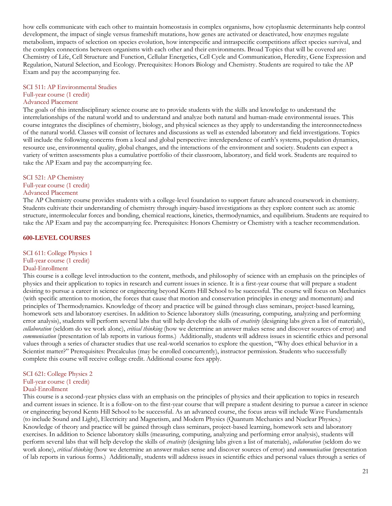how cells communicate with each other to maintain homeostasis in complex organisms, how cytoplasmic determinants help control development, the impact of single versus frameshift mutations, how genes are activated or deactivated, how enzymes regulate metabolism, impacts of selection on species evolution, how interspecific and intraspecific competitions affect species survival, and the complex connections between organisms with each other and their environments. Broad Topics that will be covered are: Chemistry of Life, Cell Structure and Function, Cellular Energetics, Cell Cycle and Communication, Heredity, Gene Expression and Regulation, Natural Selection, and Ecology. Prerequisites: Honors Biology and Chemistry. Students are required to take the AP Exam and pay the accompanying fee.

### SCI 511: AP Environmental Studies Full-year course (1 credit)

### Advanced Placement

The goals of this interdisciplinary science course are to provide students with the skills and knowledge to understand the interrelationships of the natural world and to understand and analyze both natural and human-made environmental issues. This course integrates the disciplines of chemistry, biology, and physical sciences as they apply to understanding the interconnectedness of the natural world. Classes will consist of lectures and discussions as well as extended laboratory and field investigations. Topics will include the following concerns from a local and global perspective: interdependence of earth's systems, population dynamics, resource use, environmental quality, global changes, and the interactions of the environment and society. Students can expect a variety of written assessments plus a cumulative portfolio of their classroom, laboratory, and field work. Students are required to take the AP Exam and pay the accompanying fee.

### SCI 521: AP Chemistry

## Full-year course (1 credit)

### Advanced Placement

The AP Chemistry course provides students with a college-level foundation to support future advanced coursework in chemistry. Students cultivate their understanding of chemistry through inquiry-based investigations as they explore content such as: atomic structure, intermolecular forces and bonding, chemical reactions, kinetics, thermodynamics, and equilibrium. Students are required to take the AP Exam and pay the accompanying fee. Prerequisites: Honors Chemistry or Chemistry with a teacher recommendation.

### **600-LEVEL COURSES**

### SCI 611: College Physics 1 Full-year course (1 credit) Dual-Enrollment

This course is a college level introduction to the content, methods, and philosophy of science with an emphasis on the principles of physics and their application to topics in research and current issues in science. It is a first-year course that will prepare a student desiring to pursue a career in science or engineering beyond Kents Hill School to be successful. The course will focus on Mechanics (with specific attention to motion, the forces that cause that motion and conservation principles in energy and momentum) and principles of Thermodynamics. Knowledge of theory and practice will be gained through class seminars, project-based learning, homework sets and laboratory exercises. In addition to Science laboratory skills (measuring, computing, analyzing and performing error analysis), students will perform several labs that will help develop the skills of *creativity* (designing labs given a list of materials), *collaboration* (seldom do we work alone), *critical thinking* (how we determine an answer makes sense and discover sources of error) and *communication* (presentation of lab reports in various forms.) Additionally, students will address issues in scientific ethics and personal values through a series of character studies that use real-world scenarios to explore the question, "Why does ethical behavior in a Scientist matter?" Prerequisites: Precalculus (may be enrolled concurrently), instructor permission. Students who successfully complete this course will receive college credit. Additional course fees apply.

### SCI 621: College Physics 2 Full-year course (1 credit) Dual-Enrollment

This course is a second-year physics class with an emphasis on the principles of physics and their application to topics in research and current issues in science. It is a follow-on to the first-year course that will prepare a student desiring to pursue a career in science or engineering beyond Kents Hill School to be successful. As an advanced course, the focus areas will include Wave Fundamentals (to include Sound and Light), Electricity and Magnetism, and Modern Physics (Quantum Mechanics and Nuclear Physics.) Knowledge of theory and practice will be gained through class seminars, project-based learning, homework sets and laboratory exercises. In addition to Science laboratory skills (measuring, computing, analyzing and performing error analysis), students will perform several labs that will help develop the skills of *creativity* (designing labs given a list of materials), *collaboration* (seldom do we work alone), *critical thinking* (how we determine an answer makes sense and discover sources of error) and *communication* (presentation of lab reports in various forms.) Additionally, students will address issues in scientific ethics and personal values through a series of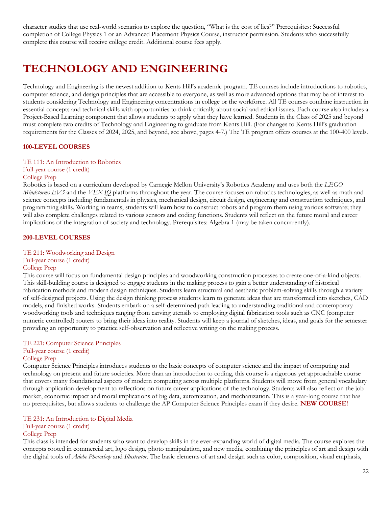character studies that use real-world scenarios to explore the question, "What is the cost of lies?" Prerequisites: Successful completion of College Physics 1 or an Advanced Placement Physics Course, instructor permission. Students who successfully complete this course will receive college credit. Additional course fees apply.

# **TECHNOLOGY AND ENGINEERING**

Technology and Engineering is the newest addition to Kents Hill's academic program. TE courses include introductions to robotics, computer science, and design principles that are accessible to everyone, as well as more advanced options that may be of interest to students considering Technology and Engineering concentrations in college or the workforce. All TE courses combine instruction in essential concepts and technical skills with opportunities to think critically about social and ethical issues. Each course also includes a Project-Based Learning component that allows students to apply what they have learned. Students in the Class of 2025 and beyond must complete two credits of Technology and Engineering to graduate from Kents Hill. (For changes to Kents Hill's graduation requirements for the Classes of 2024, 2025, and beyond, see above, pages 4-7.) The TE program offers courses at the 100-400 levels.

### **100-LEVEL COURSES**

TE 111: An Introduction to Robotics Full-year course (1 credit) College Prep

Robotics is based on a curriculum developed by Carnegie Mellon University's Robotics Academy and uses both the *LEGO Mindstorms EV3* and the *VEX IQ* platforms throughout the year. The course focuses on robotics technologies, as well as math and science concepts including fundamentals in physics, mechanical design, circuit design, engineering and construction techniques, and programming skills. Working in teams, students will learn how to construct robots and program them using various software; they will also complete challenges related to various sensors and coding functions. Students will reflect on the future moral and career implications of the integration of society and technology. Prerequisites: Algebra 1 (may be taken concurrently).

### **200-LEVEL COURSES**

TE 211: Woodworking and Design

## Full-year course (1 credit)

### College Prep

This course will focus on fundamental design principles and woodworking construction processes to create one-of-a-kind objects. This skill-building course is designed to engage students in the making process to gain a better understanding of historical fabrication methods and modern design techniques. Students learn structural and aesthetic problem-solving skills through a variety of self-designed projects. Using the design thinking process students learn to generate ideas that are transformed into sketches, CAD models, and finished works. Students embark on a self-determined path leading to understanding traditional and contemporary woodworking tools and techniques ranging from carving utensils to employing digital fabrication tools such as CNC (computer numeric controlled) routers to bring their ideas into reality. Students will keep a journal of sketches, ideas, and goals for the semester providing an opportunity to practice self-observation and reflective writing on the making process.

## TE 221: Computer Science Principles Full-year course (1 credit)

College Prep

Computer Science Principles introduces students to the basic concepts of computer science and the impact of computing and technology on present and future societies. More than an introduction to coding, this course is a rigorous yet approachable course that covers many foundational aspects of modern computing across multiple platforms. Students will move from general vocabulary through application development to reflections on future career applications of the technology. Students will also reflect on the job market, economic impact and moral implications of big data, automization, and mechanization. This is a year-long course that has no prerequisites, but allows students to challenge the AP Computer Science Principles exam if they desire. **NEW COURSE!**

### TE 231: An Introduction to Digital Media

### Full-year course (1 credit)

### College Prep

This class is intended for students who want to develop skills in the ever-expanding world of digital media. The course explores the concepts rooted in commercial art, logo design, photo manipulation, and new media, combining the principles of art and design with the digital tools of *Adobe Photoshop* and *Illustrator*. The basic elements of art and design such as color, composition, visual emphasis,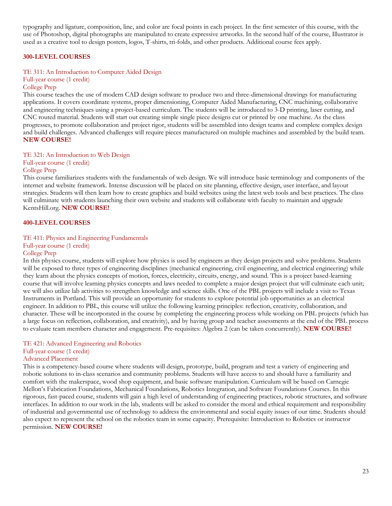typography and ligature, composition, line, and color are focal points in each project. In the first semester of this course, with the use of Photoshop, digital photographs are manipulated to create expressive artworks. In the second half of the course, Illustrator is used as a creative tool to design posters, logos, T-shirts, tri-folds, and other products. Additional course fees apply.

### **300-LEVEL COURSES**

### TE 311: An Introduction to Computer Aided Design

Full-year course (1 credit)

### College Prep

This course teaches the use of modern CAD design software to produce two and three-dimensional drawings for manufacturing applications. It covers coordinate systems, proper dimensioning, Computer Aided Manufacturing, CNC machining, collaborative and engineering techniques using a project-based curriculum. The students will be introduced to 3-D printing, laser cutting, and CNC routed material. Students will start out creating simple single piece designs cut or printed by one machine. As the class progresses, to promote collaboration and project rigor, students will be assembled into design teams and complete complex design and build challenges. Advanced challenges will require pieces manufactured on multiple machines and assembled by the build team. **NEW COURSE!**

### TE 321: An Introduction to Web Design

Full-year course (1 credit) College Prep

This course familiarizes students with the fundamentals of web design. We will introduce basic terminology and components of the internet and website framework. Intense discussion will be placed on site planning, effective design, user interface, and layout strategies. Students will then learn how to create graphics and build websites using the latest web tools and best practices. The class will culminate with students launching their own website and students will collaborate with faculty to maintain and upgrade KentsHill.org. **NEW COURSE!**

### **400-LEVEL COURSES**

### TE 411: Physics and Engineering Fundamentals

Full-year course (1 credit)

### College Prep

In this physics course, students will explore how physics is used by engineers as they design projects and solve problems. Students will be exposed to three types of engineering disciplines (mechanical engineering, civil engineering, and electrical engineering) while they learn about the physics concepts of motion, forces, electricity, circuits, energy, and sound. This is a project based-learning course that will involve learning physics concepts and laws needed to complete a major design project that will culminate each unit; we will also utilize lab activities to strengthen knowledge and science skills. One of the PBL projects will include a visit to Texas Instruments in Portland. This will provide an opportunity for students to explore potential job opportunities as an electrical engineer. In addition to PBL, this course will utilize the following learning principles: reflection, creativity, collaboration, and character. These will be incorporated in the course by completing the engineering process while working on PBL projects (which has a large focus on reflection, collaboration, and creativity), and by having group and teacher assessments at the end of the PBL process to evaluate team members character and engagement. Pre-requisites: Algebra 2 (can be taken concurrently). **NEW COURSE!**

### TE 421: Advanced Engineering and Robotics

Full-year course (1 credit)

### Advanced Placement

This is a competency-based course where students will design, prototype, build, program and test a variety of engineering and robotic solutions to in-class scenarios and community problems. Students will have access to and should have a familiarity and comfort with the makerspace, wood shop equipment, and basic software manipulation. Curriculum will be based on Carnegie Mellon's Fabrication Foundations, Mechanical Foundations, Robotics Integration, and Software Foundations Courses. In this rigorous, fast-paced course, students will gain a high level of understanding of engineering practices, robotic structures, and software interfaces. In addition to our work in the lab, students will be asked to consider the moral and ethical requirement and responsibility of industrial and governmental use of technology to address the environmental and social equity issues of our time. Students should also expect to represent the school on the robotics team in some capacity. Prerequisite: Introduction to Robotics or instructor permission. **NEW COURSE!**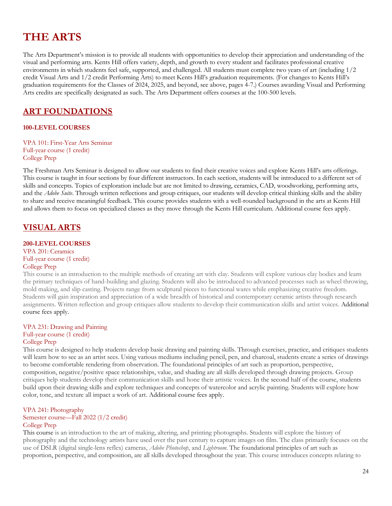# **THE ARTS**

The Arts Department's mission is to provide all students with opportunities to develop their appreciation and understanding of the visual and performing arts. Kents Hill offers variety, depth, and growth to every student and facilitates professional creative environments in which students feel safe, supported, and challenged. All students must complete two years of art (including 1/2 credit Visual Arts and 1/2 credit Performing Arts) to meet Kents Hill's graduation requirements. (For changes to Kents Hill's graduation requirements for the Classes of 2024, 2025, and beyond, see above, pages 4-7.) Courses awarding Visual and Performing Arts credits are specifically designated as such. The Arts Department offers courses at the 100-500 levels.

## **ART FOUNDATIONS**

### **100-LEVEL COURSES**

VPA 101: First-Year Arts Seminar Full-year course (1 credit) College Prep

The Freshman Arts Seminar is designed to allow our students to find their creative voices and explore Kents Hill's arts offerings. This course is taught in four sections by four different instructors. In each section, students will be introduced to a different set of skills and concepts. Topics of exploration include but are not limited to drawing, ceramics, CAD, woodworking, performing arts, and the *Adobe Suite*. Through written reflections and group critiques, our students will develop critical thinking skills and the ability to share and receive meaningful feedback. This course provides students with a well-rounded background in the arts at Kents Hill and allows them to focus on specialized classes as they move through the Kents Hill curriculum. Additional course fees apply.

## **VISUAL ARTS**

### **200-LEVEL COURSES**

VPA 201: Ceramics Full-year course (1 credit)

## College Prep

This course is an introduction to the multiple methods of creating art with clay. Students will explore various clay bodies and learn the primary techniques of hand-building and glazing. Students will also be introduced to advanced processes such as wheel throwing, mold making, and slip casting. Projects range from sculptural pieces to functional wares while emphasizing creative freedom. Students will gain inspiration and appreciation of a wide breadth of historical and contemporary ceramic artists through research assignments. Written reflection and group critiques allow students to develop their communication skills and artist voices. Additional course fees apply.

## VPA 231: Drawing and Painting

Full-year course (1 credit)

### College Prep

This course is designed to help students develop basic drawing and painting skills. Through exercises, practice, and critiques students will learn how to see as an artist sees. Using various mediums including pencil, pen, and charcoal, students create a series of drawings to become comfortable rendering from observation. The foundational principles of art such as proportion, perspective, composition, negative/positive space relationships, value, and shading are all skills developed through drawing projects. Group critiques help students develop their communication skills and hone their artistic voices. In the second half of the course, students build upon their drawing skills and explore techniques and concepts of watercolor and acrylic painting. Students will explore how color, tone, and texture all impact a work of art. Additional course fees apply.

### VPA 241: Photography

### Semester course—Fall 2022 (1/2 credit) College Prep

This course is an introduction to the art of making, altering, and printing photographs. Students will explore the history of photography and the technology artists have used over the past century to capture images on film. The class primarily focuses on the use of DSLR (digital single-lens reflex) cameras, *Adobe Photoshop*, and *Lightroom*. The foundational principles of art such as proportion, perspective, and composition, are all skills developed throughout the year. This course introduces concepts relating to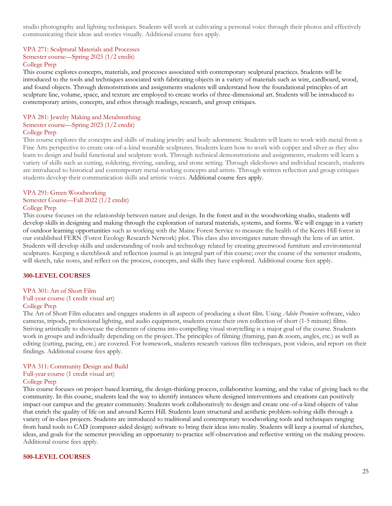studio photography and lighting techniques. Students will work at cultivating a personal voice through their photos and effectively communicating their ideas and stories visually. Additional course fees apply.

## VPA 271: Sculptural Materials and Processes Semester course—Spring 2023 (1/2 credit)

### College Prep

This course explores concepts, materials, and processes associated with contemporary sculptural practices. Students will be introduced to the tools and techniques associated with fabricating objects in a variety of materials such as wire, cardboard, wood, and found objects. Through demonstrations and assignments students will understand how the foundational principles of art sculpture line, volume, space, and texture are employed to create works of three-dimensional art. Students will be introduced to contemporary artists, concepts, and ethos through readings, research, and group critiques.

### VPA 281: Jewelry Making and Metalsmithing Semester course—Spring 2023 (1/2 credit) College Prep

This course explores the concepts and skills of making jewelry and body adornment. Students will learn to work with metal from a Fine Arts perspective to create one-of-a-kind wearable sculptures. Students learn how to work with copper and silver as they also learn to design and build functional and sculpture work. Through technical demonstrations and assignments, students will learn a variety of skills such as cutting, soldering, riveting, sanding, and stone setting. Through slideshows and individual research, students are introduced to historical and contemporary metal-working concepts and artists. Through written reflection and group critiques students develop their communication skills and artistic voices. Additional course fees apply.

### VPA 291: Green Woodworking Semester Course—Fall 2022 (1/2 credit) College Prep

This course focuses on the relationship between nature and design. In the forest and in the woodworking studio, students will develop skills in designing and making through the exploration of natural materials, systems, and forms. We will engage in a variety of outdoor learning opportunities such as working with the Maine Forest Service to measure the health of the Kents Hill forest in our established FERN (Forest Ecology Research Network) plot. This class also investigates nature through the lens of an artist. Students will develop skills and understanding of tools and technology related by creating greenwood furniture and environmental sculptures. Keeping a sketchbook and reflection journal is an integral part of this course; over the course of the semester students, will sketch, take notes, and reflect on the process, concepts, and skills they have explored. Additional course fees apply.

### **300-LEVEL COURSES**

### VPA 301: Art of Short Film

## Full-year course (1 credit visual art)

### College Prep

The Art of Short Film educates and engages students in all aspects of producing a short film. Using *Adobe Premiere* software, video cameras, tripods, professional lighting, and audio equipment, students create their own collection of short (1-5 minute) films. Striving artistically to showcase the elements of cinema into compelling visual storytelling is a major goal of the course. Students work in groups and individually depending on the project. The principles of filming (framing, pan & zoom, angles, etc.) as well as editing (cutting, pacing, etc.) are covered. For homework, students research various film techniques, post videos, and report on their findings. Additional course fees apply.

## VPA 311: Community Design and Build

### Full-year course (1 credit visual art) College Prep

This course focuses on project-based learning, the design-thinking process, collaborative learning, and the value of giving back to the community. In this course, students lead the way to identify instances where designed interventions and creations can positively impact our campus and the greater community. Students work collaboratively to design and create one-of-a-kind objects of value that enrich the quality of life on and around Kents Hill. Students learn structural and aesthetic problem-solving skills through a variety of in-class projects. Students are introduced to traditional and contemporary woodworking tools and techniques ranging from hand tools to CAD (computer-aided design) software to bring their ideas into reality. Students will keep a journal of sketches, ideas, and goals for the semester providing an opportunity to practice self-observation and reflective writing on the making process. Additional course fees apply.

### **500-LEVEL COURSES**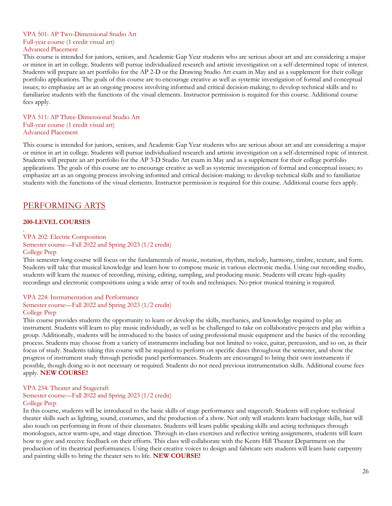### VPA 501: AP Two-Dimensional Studio Art Full-year course (1 credit visual art) Advanced Placement

This course is intended for juniors, seniors, and Academic Gap Year students who are serious about art and are considering a major or minor in art in college. Students will pursue individualized research and artistic investigation on a self-determined topic of interest. Students will prepare an art portfolio for the AP 2-D or the Drawing Studio Art exam in May and as a supplement for their college portfolio applications. The goals of this course are to encourage creative as well as systemic investigation of formal and conceptual issues; to emphasize art as an ongoing process involving informed and critical decision-making; to develop technical skills and to familiarize students with the functions of the visual elements. Instructor permission is required for this course. Additional course fees apply.

VPA 511: AP Three-Dimensional Studio Art Full-year course (1 credit visual art) Advanced Placement

This course is intended for juniors, seniors, and Academic Gap Year students who are serious about art and are considering a major or minor in art in college. Students will pursue individualized research and artistic investigation on a self-determined topic of interest. Students will prepare an art portfolio for the AP 3-D Studio Art exam in May and as a supplement for their college portfolio applications. The goals of this course are to encourage creative as well as systemic investigation of formal and conceptual issues; to emphasize art as an ongoing process involving informed and critical decision-making; to develop technical skills and to familiarize students with the functions of the visual elements. Instructor permission is required for this course. Additional course fees apply.

## PERFORMING ARTS

### **200-LEVEL COURSES**

VPA 202: Electric Composition

Semester course—Fall 2022 and Spring 2023 (1/2 credit)

#### College Prep

.

This semester-long course will focus on the fundamentals of music, notation, rhythm, melody, harmony, timbre, texture, and form. Students will take that musical knowledge and learn how to compose music in various electronic media. Using our recording studio, students will learn the nuance of recording, mixing, editing, sampling, and producing music. Students will create high-quality recordings and electronic compositions using a wide array of tools and techniques. No prior musical training is required.

### VPA 224: Instrumentation and Performance Semester course—Fall 2022 and Spring 2023 (1/2 credit) College Prep

This course provides students the opportunity to learn or develop the skills, mechanics, and knowledge required to play an instrument. Students will learn to play music individually, as well as be challenged to take on collaborative projects and play within a group. Additionally, students will be introduced to the basics of using professional music equipment and the basics of the recording process. Students may choose from a variety of instruments including but not limited to voice, guitar, percussion, and so on, as their focus of study. Students taking this course will be required to perform on specific dates throughout the semester, and show the progress of instrument study through periodic panel performances. Students are encouraged to bring their own instruments if possible, though doing so is not necessary or required. Students do not need previous instrumentation skills. Additional course fees apply. **NEW COURSE!**

### VPA 234: Theater and Stagecraft

Semester course—Fall 2022 and Spring 2023 (1/2 credit)

### College Prep

In this course, students will be introduced to the basic skills of stage performance and stagecraft. Students will explore technical theater skills such as lighting, sound, costumes, and the production of a show. Not only will students learn backstage skills, but will also touch on performing in front of their classmates. Students will learn public speaking skills and acting techniques through monologues, actor warm-ups, and stage direction. Through in-class exercises and reflective writing assignments, students will learn how to give and receive feedback on their efforts. This class will collaborate with the Kents Hill Theater Department on the production of its theatrical performances. Using their creative voices to design and fabricate sets students will learn basic carpentry and painting skills to bring the theater sets to life. **NEW COURSE!**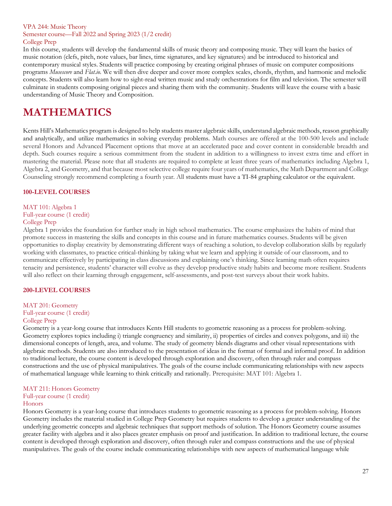### VPA 244: Music Theory Semester course—Fall 2022 and Spring 2023 (1/2 credit) College Prep

In this course, students will develop the fundamental skills of music theory and composing music. They will learn the basics of music notation (clefs, pitch, note values, bar lines, time signatures, and key signatures) and be introduced to historical and contemporary musical styles. Students will practice composing by creating original phrases of music on computer compositions programs *Musescore* and *Flat.io.* We will then dive deeper and cover more complex scales, chords, rhythm, and harmonic and melodic concepts. Students will also learn how to sight-read written music and study orchestrations for film and television. The semester will culminate in students composing original pieces and sharing them with the community. Students will leave the course with a basic understanding of Music Theory and Composition.

# **MATHEMATICS**

Kents Hill's Mathematics program is designed to help students master algebraic skills, understand algebraic methods, reason graphically and analytically, and utilize mathematics in solving everyday problems. Math courses are offered at the 100-500 levels and include several Honors and Advanced Placement options that move at an accelerated pace and cover content in considerable breadth and depth. Such courses require a serious commitment from the student in addition to a willingness to invest extra time and effort in mastering the material. Please note that all students are required to complete at least three years of mathematics including Algebra 1, Algebra 2, and Geometry, and that because most selective college require four years of mathematics, the Math Department and College Counseling strongly recommend completing a fourth year. All students must have a TI-84 graphing calculator or the equivalent.

### **100-LEVEL COURSES**

### MAT 101: Algebra 1 Full-year course (1 credit) College Prep

Algebra 1 provides the foundation for further study in high school mathematics. The course emphasizes the habits of mind that promote success in mastering the skills and concepts in this course and in future mathematics courses. Students will be given opportunities to display creativity by demonstrating different ways of reaching a solution, to develop collaboration skills by regularly working with classmates, to practice critical-thinking by taking what we learn and applying it outside of our classroom, and to communicate effectively by participating in class discussions and explaining one's thinking. Since learning math often requires tenacity and persistence, students' character will evolve as they develop productive study habits and become more resilient. Students will also reflect on their learning through engagement, self-assessments, and post-test surveys about their work habits.

### **200-LEVEL COURSES**

### MAT 201: Geometry

Full-year course (1 credit)

### College Prep

Geometry is a year-long course that introduces Kents Hill students to geometric reasoning as a process for problem-solving. Geometry explores topics including i) triangle congruency and similarity, ii) properties of circles and convex polygons, and iii) the dimensional concepts of length, area, and volume. The study of geometry blends diagrams and other visual representations with algebraic methods. Students are also introduced to the presentation of ideas in the format of formal and informal proof. In addition to traditional lecture, the course content is developed through exploration and discovery, often through ruler and compass constructions and the use of physical manipulatives. The goals of the course include communicating relationships with new aspects of mathematical language while learning to think critically and rationally. Prerequisite: MAT 101: Algebra 1.

## MAT 211: Honors Geometry

Full-year course (1 credit)

## Honors

Honors Geometry is a year-long course that introduces students to geometric reasoning as a process for problem-solving. Honors Geometry includes the material studied in College Prep Geometry but requires students to develop a greater understanding of the underlying geometric concepts and algebraic techniques that support methods of solution. The Honors Geometry course assumes greater facility with algebra and it also places greater emphasis on proof and justification. In addition to traditional lecture, the course content is developed through exploration and discovery, often through ruler and compass constructions and the use of physical manipulatives. The goals of the course include communicating relationships with new aspects of mathematical language while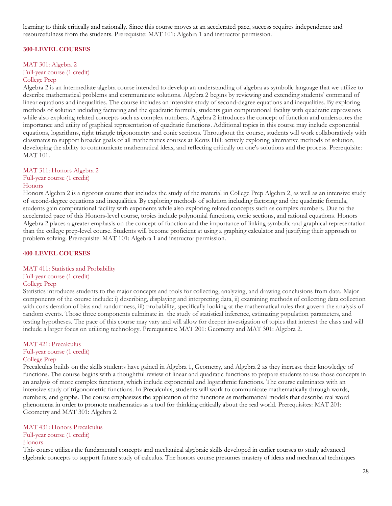learning to think critically and rationally. Since this course moves at an accelerated pace, success requires independence and resourcefulness from the students. Prerequisite: MAT 101: Algebra 1 and instructor permission.

### **300-LEVEL COURSES**

### MAT 301: Algebra 2

### Full-year course (1 credit) College Prep

Algebra 2 is an intermediate algebra course intended to develop an understanding of algebra as symbolic language that we utilize to describe mathematical problems and communicate solutions. Algebra 2 begins by reviewing and extending students' command of linear equations and inequalities. The course includes an intensive study of second-degree equations and inequalities. By exploring methods of solution including factoring and the quadratic formula, students gain computational facility with quadratic expressions while also exploring related concepts such as complex numbers. Algebra 2 introduces the concept of function and underscores the importance and utility of graphical representation of quadratic functions. Additional topics in this course may include exponential equations, logarithms, right triangle trigonometry and conic sections. Throughout the course, students will work collaboratively with classmates to support broader goals of all mathematics courses at Kents Hill: actively exploring alternative methods of solution, developing the ability to communicate mathematical ideas, and reflecting critically on one's solutions and the process. Prerequisite: MAT 101.

### MAT 311: Honors Algebra 2

### Full-year course (1 credit)

### Honors

Honors Algebra 2 is a rigorous course that includes the study of the material in College Prep Algebra 2, as well as an intensive study of second-degree equations and inequalities. By exploring methods of solution including factoring and the quadratic formula, students gain computational facility with exponents while also exploring related concepts such as complex numbers. Due to the accelerated pace of this Honors-level course, topics include polynomial functions, conic sections, and rational equations. Honors Algebra 2 places a greater emphasis on the concept of function and the importance of linking symbolic and graphical representation than the college prep-level course. Students will become proficient at using a graphing calculator and justifying their approach to problem solving. Prerequisite: MAT 101: Algebra 1 and instructor permission.

### **400-LEVEL COURSES**

### MAT 411: Statistics and Probability

### Full-year course (1 credit)

### College Prep

Statistics introduces students to the major concepts and tools for collecting, analyzing, and drawing conclusions from data. Major components of the course include: i) describing, displaying and interpreting data, ii) examining methods of collecting data collection with consideration of bias and randomness, iii) probability, specifically looking at the mathematical rules that govern the analysis of random events. Those three components culminate in the study of statistical inference, estimating population parameters, and testing hypotheses. The pace of this course may vary and will allow for deeper investigation of topics that interest the class and will include a larger focus on utilizing technology. Prerequisites: MAT 201: Geometry and MAT 301: Algebra 2.

### MAT 421: Precalculus Full-year course (1 credit)

### College Prep

Precalculus builds on the skills students have gained in Algebra 1, Geometry, and Algebra 2 as they increase their knowledge of functions. The course begins with a thoughtful review of linear and quadratic functions to prepare students to use those concepts in an analysis of more complex functions, which include exponential and logarithmic functions. The course culminates with an intensive study of trigonometric functions. In Precalculus, students will work to communicate mathematically through words, numbers, and graphs. The course emphasizes the application of the functions as mathematical models that describe real word phenomena in order to promote mathematics as a tool for thinking critically about the real world. Prerequisites: MAT 201: Geometry and MAT 301: Algebra 2.

### MAT 431: Honors Precalculus

Full-year course (1 credit)

### Honors

This course utilizes the fundamental concepts and mechanical algebraic skills developed in earlier courses to study advanced algebraic concepts to support future study of calculus. The honors course presumes mastery of ideas and mechanical techniques